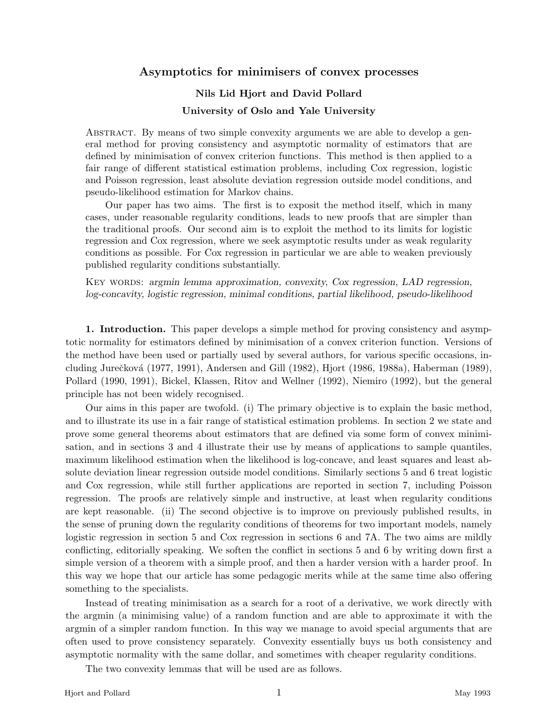# **Asymptotics for minimisers of convex processes**

# **Nils Lid Hjort and David Pollard University of Oslo and Yale University**

ABSTRACT. By means of two simple convexity arguments we are able to develop a general method for proving consistency and asymptotic normality of estimators that are defined by minimisation of convex criterion functions. This method is then applied to a fair range of different statistical estimation problems, including Cox regression, logistic and Poisson regression, least absolute deviation regression outside model conditions, and pseudo-likelihood estimation for Markov chains.

Our paper has two aims. The first is to exposit the method itself, which in many cases, under reasonable regularity conditions, leads to new proofs that are simpler than the traditional proofs. Our second aim is to exploit the method to its limits for logistic regression and Cox regression, where we seek asymptotic results under as weak regularity conditions as possible. For Cox regression in particular we are able to weaken previously published regularity conditions substantially.

KEY WORDS: *argmin lemma approximation, convexity, Cox regression, LAD regression, log-concavity, logistic regression, minimal conditions, partial likelihood, pseudo-likelihood*

**1. Introduction.** This paper develops a simple method for proving consistency and asymptotic normality for estimators defined by minimisation of a convex criterion function. Versions of the method have been used or partially used by several authors, for various specific occasions, including Jurečková (1977, 1991), Andersen and Gill (1982), Hjort (1986, 1988a), Haberman (1989), Pollard (1990, 1991), Bickel, Klassen, Ritov and Wellner (1992), Niemiro (1992), but the general principle has not been widely recognised.

Our aims in this paper are twofold. (i) The primary objective is to explain the basic method, and to illustrate its use in a fair range of statistical estimation problems. In section 2 we state and prove some general theorems about estimators that are defined via some form of convex minimisation, and in sections 3 and 4 illustrate their use by means of applications to sample quantiles, maximum likelihood estimation when the likelihood is log-concave, and least squares and least absolute deviation linear regression outside model conditions. Similarly sections 5 and 6 treat logistic and Cox regression, while still further applications are reported in section 7, including Poisson regression. The proofs are relatively simple and instructive, at least when regularity conditions are kept reasonable. (ii) The second objective is to improve on previously published results, in the sense of pruning down the regularity conditions of theorems for two important models, namely logistic regression in section 5 and Cox regression in sections 6 and 7A. The two aims are mildly conflicting, editorially speaking. We soften the conflict in sections 5 and 6 by writing down first a simple version of a theorem with a simple proof, and then a harder version with a harder proof. In this way we hope that our article has some pedagogic merits while at the same time also offering something to the specialists.

Instead of treating minimisation as a search for a root of a derivative, we work directly with the argmin (a minimising value) of a random function and are able to approximate it with the argmin of a simpler random function. In this way we manage to avoid special arguments that are often used to prove consistency separately. Convexity essentially buys us both consistency and asymptotic normality with the same dollar, and sometimes with cheaper regularity conditions.

The two convexity lemmas that will be used are as follows.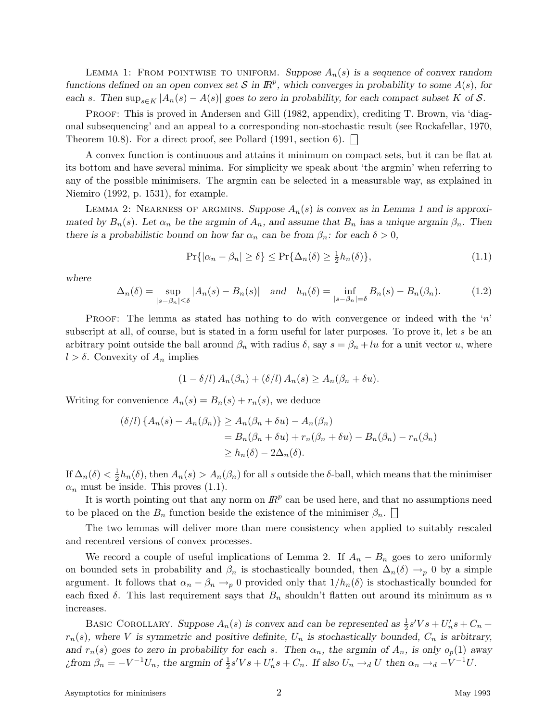LEMMA 1: FROM POINTWISE TO UNIFORM. Suppose  $A_n(s)$  is a sequence of convex random *functions defined on an open convex set* S in  $\mathbb{R}^p$ *, which converges in probability to some*  $A(s)$ *, for each s.* Then sup<sub>*s*∈*K*</sub>  $|A_n(s) - A(s)|$  goes to zero in probability, for each compact subset *K* of *S.* 

PROOF: This is proved in Andersen and Gill (1982, appendix), crediting T. Brown, via 'diagonal subsequencing' and an appeal to a corresponding non-stochastic result (see Rockafellar, 1970, Theorem 10.8). For a direct proof, see Pollard (1991, section 6).  $\Box$ 

A convex function is continuous and attains it minimum on compact sets, but it can be flat at its bottom and have several minima. For simplicity we speak about 'the argmin' when referring to any of the possible minimisers. The argmin can be selected in a measurable way, as explained in Niemiro (1992, p. 1531), for example.

LEMMA 2: NEARNESS OF ARGMINS. Suppose  $A_n(s)$  is convex as in Lemma 1 and is approxi*mated by*  $B_n(s)$ *. Let*  $\alpha_n$  *be the argmin of*  $A_n$ *, and assume that*  $B_n$  *has a unique argmin*  $\beta_n$ *. Then there is a probabilistic bound on how far*  $\alpha_n$  *can be from*  $\beta_n$ *: for each*  $\delta > 0$ *,* 

$$
\Pr\{|\alpha_n - \beta_n| \ge \delta\} \le \Pr\{\Delta_n(\delta) \ge \frac{1}{2}h_n(\delta)\},\tag{1.1}
$$

*where*

$$
\Delta_n(\delta) = \sup_{|s-\beta_n| \le \delta} |A_n(s) - B_n(s)| \quad \text{and} \quad h_n(\delta) = \inf_{|s-\beta_n| = \delta} B_n(s) - B_n(\beta_n). \tag{1.2}
$$

PROOF: The lemma as stated has nothing to do with convergence or indeed with the '*n*' subscript at all, of course, but is stated in a form useful for later purposes. To prove it, let *s* be an arbitrary point outside the ball around  $\beta_n$  with radius  $\delta$ , say  $s = \beta_n + \ell u$  for a unit vector *u*, where  $l > \delta$ . Convexity of  $A_n$  implies

$$
(1 - \delta/l) A_n(\beta_n) + (\delta/l) A_n(s) \ge A_n(\beta_n + \delta u).
$$

Writing for convenience  $A_n(s) = B_n(s) + r_n(s)$ , we deduce

$$
(\delta/l)\left\{A_n(s) - A_n(\beta_n)\right\} \ge A_n(\beta_n + \delta u) - A_n(\beta_n)
$$
  
=  $B_n(\beta_n + \delta u) + r_n(\beta_n + \delta u) - B_n(\beta_n) - r_n(\beta_n)$   
 $\ge h_n(\delta) - 2\Delta_n(\delta).$ 

If  $\Delta_n(\delta) < \frac{1}{2}h_n(\delta)$ , then  $A_n(s) > A_n(\beta_n)$  for all *s* outside the *δ*-ball, which means that the minimiser  $\alpha_n$  must be inside. This proves (1.1).

It is worth pointing out that any norm on  $I\!R^p$  can be used here, and that no assumptions need to be placed on the  $B_n$  function beside the existence of the minimiser  $\beta_n$ .

The two lemmas will deliver more than mere consistency when applied to suitably rescaled and recentred versions of convex processes.

We record a couple of useful implications of Lemma 2. If  $A_n - B_n$  goes to zero uniformly on bounded sets in probability and  $\beta_n$  is stochastically bounded, then  $\Delta_n(\delta) \to_p 0$  by a simple argument. It follows that  $\alpha_n - \beta_n \to_p 0$  provided only that  $1/h_n(\delta)$  is stochastically bounded for each fixed  $\delta$ . This last requirement says that  $B_n$  shouldn't flatten out around its minimum as *n* increases.

BASIC COROLLARY. Suppose  $A_n(s)$  is convex and can be represented as  $\frac{1}{2}s'Vs + U'_n s + C_n$  $r_n(s)$ , where *V* is symmetric and positive definite,  $U_n$  is stochastically bounded,  $C_n$  is arbitrary, *and*  $r_n(s)$  goes to zero in probability for each *s*. Then  $\alpha_n$ , the argmin of  $A_n$ , is only  $o_p(1)$  away *i*from  $\beta_n = -V^{-1}U_n$ , the argmin of  $\frac{1}{2}s'Vs + U'_n s + C_n$ . If also  $U_n \rightarrow_d U$  then  $\alpha_n \rightarrow_d -V^{-1}U$ .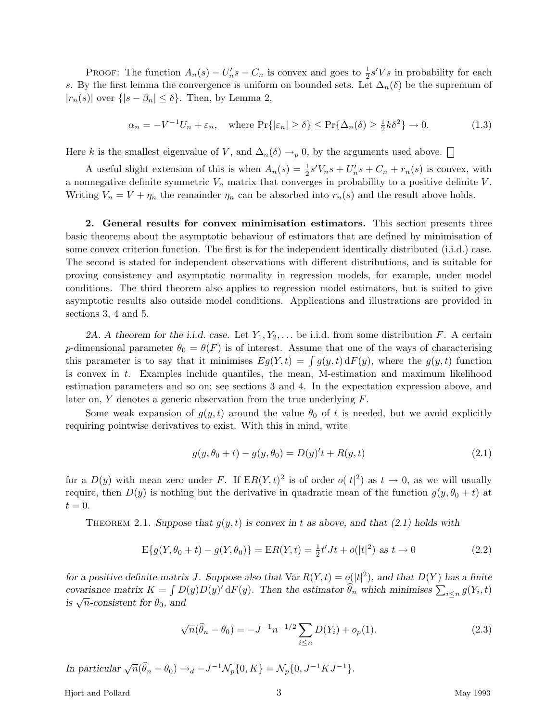PROOF: The function  $A_n(s) - U'_n s - C_n$  is convex and goes to  $\frac{1}{2} s' V s$  in probability for each *s*. By the first lemma the convergence is uniform on bounded sets. Let  $\Delta_n(\delta)$  be the supremum of  $|r_n(s)|$  over  $\{|s - \beta_n| \leq \delta\}$ . Then, by Lemma 2,

$$
\alpha_n = -V^{-1}U_n + \varepsilon_n, \quad \text{where } \Pr\{|\varepsilon_n| \ge \delta\} \le \Pr\{\Delta_n(\delta) \ge \frac{1}{2}k\delta^2\} \to 0. \tag{1.3}
$$

Here *k* is the smallest eigenvalue of *V*, and  $\Delta_n(\delta) \to_p 0$ , by the arguments used above.

A useful slight extension of this is when  $A_n(s) = \frac{1}{2}s'V_n s + U'_n s + C_n + r_n(s)$  is convex, with a nonnegative definite symmetric  $V_n$  matrix that converges in probability to a positive definite  $V$ . Writing  $V_n = V + \eta_n$  the remainder  $\eta_n$  can be absorbed into  $r_n(s)$  and the result above holds.

**2. General results for convex minimisation estimators.** This section presents three basic theorems about the asymptotic behaviour of estimators that are defined by minimisation of some convex criterion function. The first is for the independent identically distributed (i.i.d.) case. The second is stated for independent observations with different distributions, and is suitable for proving consistency and asymptotic normality in regression models, for example, under model conditions. The third theorem also applies to regression model estimators, but is suited to give asymptotic results also outside model conditions. Applications and illustrations are provided in sections 3, 4 and 5.

2A. A theorem for the i.i.d. case. Let  $Y_1, Y_2, \ldots$  be i.i.d. from some distribution F. A certain *p*-dimensional parameter  $\theta_0 = \theta(F)$  is of interest. Assume that one of the ways of characterising this parameter is to say that it minimises  $E_g(Y,t) = \int g(y,t) dF(y)$ , where the  $g(y,t)$  function is convex in *t*. Examples include quantiles, the mean, M-estimation and maximum likelihood estimation parameters and so on; see sections 3 and 4. In the expectation expression above, and later on, *Y* denotes a generic observation from the true underlying *F*.

Some weak expansion of  $g(y, t)$  around the value  $\theta_0$  of t is needed, but we avoid explicitly requiring pointwise derivatives to exist. With this in mind, write

$$
g(y, \theta_0 + t) - g(y, \theta_0) = D(y)'t + R(y, t)
$$
\n(2.1)

for a  $D(y)$  with mean zero under F. If  $ER(Y, t)^2$  is of order  $o(|t|^2)$  as  $t \to 0$ , as we will usually require, then  $D(y)$  is nothing but the derivative in quadratic mean of the function  $g(y, \theta_0 + t)$  at  $t = 0$ .

THEOREM 2.1. Suppose that  $g(y, t)$  is convex in t as above, and that (2.1) holds with

$$
E\{g(Y, \theta_0 + t) - g(Y, \theta_0)\} = ER(Y, t) = \frac{1}{2}t'Jt + o(|t|^2) \text{ as } t \to 0
$$
\n(2.2)

*for a positive definite matrix J.* Suppose also that  $\text{Var } R(Y, t) = o(|t|^2)$ , and that  $D(Y)$  has a finite *covariance matrix*  $K = \int D(y)D(y) dF(y)$ . Then the estimator  $\hat{\theta}_n$  which minimises  $\sum_{i \leq n} g(Y_i, t)$ *is*  $\sqrt{n}$ *-consistent for*  $\theta_0$ *, and* 

$$
\sqrt{n}(\hat{\theta}_n - \theta_0) = -J^{-1}n^{-1/2} \sum_{i \le n} D(Y_i) + o_p(1).
$$
 (2.3)

*In particular*  $\sqrt{n}(\hat{\theta}_n - \theta_0) \rightarrow_d -J^{-1} \mathcal{N}_p \{0, K\} = \mathcal{N}_p \{0, J^{-1} K J^{-1}\}.$ 

Hjort and Pollard 3 May 1993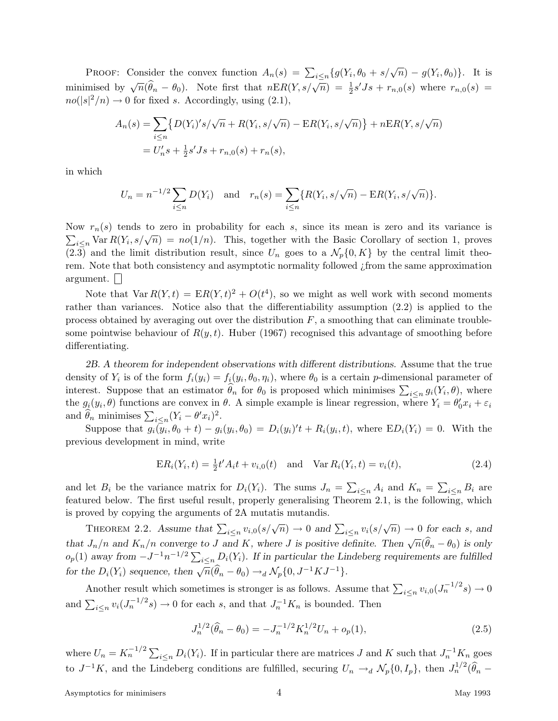PROOF: Consider the convex function  $A_n(s) = \sum_{i \leq n} \{g(Y_i, \theta_0 + s/\sqrt{n}) - g(Y_i, \theta_0)\}\.$  It is minimised by  $\sqrt{n}(\widehat{\theta}_n - \theta_0)$ . Note first that  $n \to R(Y, s/\sqrt{n}) = \frac{1}{2}s'Js + r_{n,0}(s)$  where  $r_{n,0}(s)$  $no(|s|^2/n) \rightarrow 0$  for fixed *s*. Accordingly, using (2.1),

$$
A_n(s) = \sum_{i \le n} \{ D(Y_i)' s / \sqrt{n} + R(Y_i, s / \sqrt{n}) - ER(Y_i, s / \sqrt{n}) \} + nER(Y, s / \sqrt{n})
$$
  
=  $U'_n s + \frac{1}{2} s' J s + r_{n,0}(s) + r_n(s),$ 

in which

$$
U_n = n^{-1/2} \sum_{i \le n} D(Y_i)
$$
 and  $r_n(s) = \sum_{i \le n} \{R(Y_i, s/\sqrt{n}) - ER(Y_i, s/\sqrt{n})\}.$ 

Now  $r_n(s)$  tends to zero in probability for each *s*, since its mean is zero and its variance is  $\sum_{i \leq n}$  Var  $R(Y_i, s/\sqrt{n}) = no(1/n)$ . This, together with the Basic Corollary of section 1, proves (2.3) and the limit distribution result, since  $U_n$  goes to a  $\mathcal{N}_p\{0, K\}$  by the central limit theorem. Note that both consistency and asymptotic normality followed ¿from the same approximation argument.

Note that  $Var R(Y, t) = ER(Y, t)^{2} + O(t^{4})$ , so we might as well work with second moments rather than variances. Notice also that the differentiability assumption (2.2) is applied to the process obtained by averaging out over the distribution *F*, a smoothing that can eliminate troublesome pointwise behaviour of  $R(y, t)$ . Huber (1967) recognised this advantage of smoothing before differentiating.

*2B. A theorem for independent observations with different distributions.* Assume that the true density of  $Y_i$  is of the form  $f_i(y_i) = f_i(y_i, \theta_0, \eta_i)$ , where  $\theta_0$  is a certain *p*-dimensional parameter of interest. Suppose that an estimator  $\hat{\theta}_n$  for  $\theta_0$  is proposed which minimises  $\sum_{i \leq n} g_i(Y_i, \theta)$ , where the  $g_i(y_i, \theta)$  functions are convex in  $\theta$ . A simple example is linear regression, where  $Y_i = \theta'_0 x_i + \varepsilon_i$ and  $\widehat{\theta}_n$  minimises  $\sum_{i \leq n} (Y_i - \theta' x_i)^2$ .

Suppose that  $g_i(y_i, \theta_0 + t) - g_i(y_i, \theta_0) = D_i(y_i)'t + R_i(y_i, t)$ , where  $ED_i(Y_i) = 0$ . With the previous development in mind, write

$$
ER_i(Y_i, t) = \frac{1}{2}t'A_i t + v_{i,0}(t) \text{ and } Var R_i(Y_i, t) = v_i(t),
$$
\n(2.4)

and let  $B_i$  be the variance matrix for  $D_i(Y_i)$ . The sums  $J_n = \sum_{i \leq n} A_i$  and  $K_n = \sum_{i \leq n} B_i$  are featured below. The first useful result, properly generalising Theorem 2.1, is the following, which is proved by copying the arguments of 2A mutatis mutandis.

THEOREM 2.2. Assume that  $\sum_{i \leq n} v_{i,0}(s/\sqrt{n}) \to 0$  and  $\sum_{i \leq n} v_i(s/\sqrt{n}) \to 0$  for each *s*, and that  $J_n/n$  and  $K_n/n$  converge to J and K, where J is positive definite. Then  $\sqrt{n}(\hat{\theta}_n - \theta_0)$  is only  $o_p(1)$  *away* from  $-J^{-1}n^{-1/2} \sum_{i \leq n} D_i(Y_i)$ . If in particular the Lindeberg requirements are fulfilled *for the*  $D_i(Y_i)$  *sequence, then*  $\sqrt{n}(\hat{\theta}_n - \theta_0) \rightarrow_d \mathcal{N}_p\{0, J^{-1}KJ^{-1}\}.$ 

Another result which sometimes is stronger is as follows. Assume that  $\sum_{i \leq n} v_{i,0}(J_n^{-1/2}s) \to 0$ and  $\sum_{i \leq n} v_i (J_n^{-1/2} s) \to 0$  for each *s*, and that  $J_n^{-1} K_n$  is bounded. Then

$$
J_n^{1/2}(\hat{\theta}_n - \theta_0) = -J_n^{-1/2} K_n^{1/2} U_n + o_p(1),\tag{2.5}
$$

where  $U_n = K_n^{-1/2} \sum_{i \leq n} D_i(Y_i)$ . If in particular there are matrices *J* and *K* such that  $J_n^{-1} K_n$  goes to  $J^{-1}K$ , and the Lindeberg conditions are fulfilled, securing  $U_n \to_d N_p\{0, I_p\}$ , then  $J_n^{1/2}(\hat{\theta}_n -$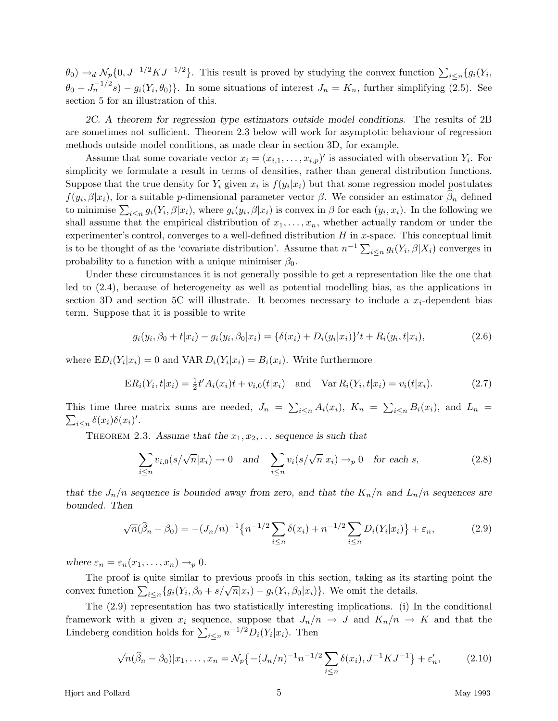$\theta_0$ )  $\rightarrow_d$   $\mathcal{N}_p\{0, J^{-1/2}KJ^{-1/2}\}$ . This result is proved by studying the convex function  $\sum_{i\leq n}\{g_i(Y_i, \theta_i)\}$  $\theta_0 + J_n^{-1/2}s$  –  $g_i(Y_i, \theta_0)$ . In some situations of interest  $J_n = K_n$ , further simplifying (2.5). See section 5 for an illustration of this.

*2C. A theorem for regression type estimators outside model conditions.* The results of 2B are sometimes not sufficient. Theorem 2.3 below will work for asymptotic behaviour of regression methods outside model conditions, as made clear in section 3D, for example.

Assume that some covariate vector  $x_i = (x_{i,1}, \ldots, x_{i,p})'$  is associated with observation  $Y_i$ . For simplicity we formulate a result in terms of densities, rather than general distribution functions. Suppose that the true density for  $Y_i$  given  $x_i$  is  $f(y_i|x_i)$  but that some regression model postulates *f*( $y_i$ ,  $\beta |x_i|$ ), for a suitable *p*-dimensional parameter vector  $\beta$ . We consider an estimator  $\beta_n$  defined to minimise  $\sum_{i\leq n} g_i(Y_i,\beta|x_i)$ , where  $g_i(y_i,\beta|x_i)$  is convex in  $\beta$  for each  $(y_i,x_i)$ . In the following we shall assume that the empirical distribution of  $x_1, \ldots, x_n$ , whether actually random or under the experimenter's control, converges to a well-defined distribution *H* in *x*-space. This conceptual limit is to be thought of as the 'covariate distribution'. Assume that  $n^{-1} \sum_{i \leq n} g_i(Y_i, \beta | X_i)$  converges in probability to a function with a unique minimiser  $\beta_0$ .

Under these circumstances it is not generally possible to get a representation like the one that led to (2.4), because of heterogeneity as well as potential modelling bias, as the applications in section 3D and section 5C will illustrate. It becomes necessary to include a *xi*-dependent bias term. Suppose that it is possible to write

$$
g_i(y_i, \beta_0 + t | x_i) - g_i(y_i, \beta_0 | x_i) = {\delta(x_i) + D_i(y_i | x_i)}'t + R_i(y_i, t | x_i),
$$
\n(2.6)

where  $ED_i(Y_i|x_i) = 0$  and  $VAR D_i(Y_i|x_i) = B_i(x_i)$ . Write furthermore

$$
ER_i(Y_i, t|x_i) = \frac{1}{2}t'A_i(x_i)t + v_{i,0}(t|x_i) \text{ and } Var R_i(Y_i, t|x_i) = v_i(t|x_i).
$$
 (2.7)

This time three matrix sums are needed,  $J_n = \sum_{i \leq n} A_i(x_i)$ ,  $K_n = \sum_{i \leq n} B_i(x_i)$ , and  $L_n = \sum_{i \leq n} \delta(x_i) \delta(x_i)'$ .  $i \leq n \delta(x_i) \delta(x_i)$ '.

THEOREM 2.3. Assume that the  $x_1, x_2, \ldots$  sequence is such that

$$
\sum_{i \le n} v_{i,0}(s/\sqrt{n}|x_i) \to 0 \quad \text{and} \quad \sum_{i \le n} v_i(s/\sqrt{n}|x_i) \to_p 0 \quad \text{for each } s,
$$
\n(2.8)

*that the*  $J_n/n$  *sequence is bounded away from zero, and that the*  $K_n/n$  *and*  $L_n/n$  *sequences are bounded. Then*

$$
\sqrt{n}(\widehat{\beta}_n - \beta_0) = -(J_n/n)^{-1} \{ n^{-1/2} \sum_{i \le n} \delta(x_i) + n^{-1/2} \sum_{i \le n} D_i(Y_i | x_i) \} + \varepsilon_n,
$$
\n(2.9)

*where*  $\varepsilon_n = \varepsilon_n(x_1, \ldots, x_n) \rightarrow_p 0$ .

The proof is quite similar to previous proofs in this section, taking as its starting point the convex function  $\sum_{i \leq n} \{g_i(Y_i, \beta_0 + s/\sqrt{n}|x_i) - g_i(Y_i, \beta_0|x_i)\}\)$ . We omit the details.

The (2.9) representation has two statistically interesting implications. (i) In the conditional framework with a given  $x_i$  sequence, suppose that  $J_n/n \to J$  and  $K_n/n \to K$  and that the Lindeberg condition holds for  $\sum_{i \leq n} n^{-1/2} D_i(Y_i | x_i)$ . Then

$$
\sqrt{n}(\widehat{\beta}_n - \beta_0)|x_1, \dots, x_n = \mathcal{N}_p\left\{ -(J_n/n)^{-1} n^{-1/2} \sum_{i \le n} \delta(x_i), J^{-1} K J^{-1} \right\} + \varepsilon'_n, \tag{2.10}
$$

Hjort and Pollard 5 May 1993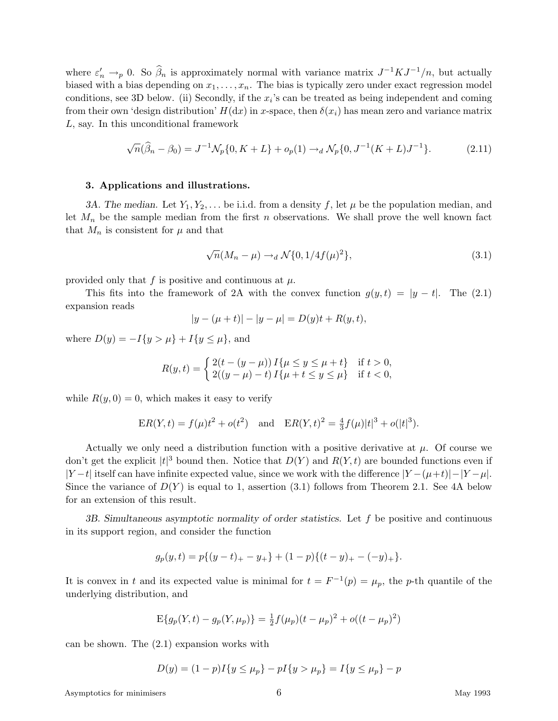where  $\varepsilon'_n \to_p 0$ . So  $\hat{\beta}_n$  is approximately normal with variance matrix  $J^{-1}KJ^{-1}/n$ , but actually biased with a bias depending on  $x_1, \ldots, x_n$ . The bias is typically zero under exact regression model conditions, see 3D below. (ii) Secondly, if the  $x_i$ 's can be treated as being independent and coming from their own 'design distribution'  $H(dx)$  in *x*-space, then  $\delta(x_i)$  has mean zero and variance matrix *L*, say. In this unconditional framework

$$
\sqrt{n}(\widehat{\beta}_n - \beta_0) = J^{-1}\mathcal{N}_p\{0, K + L\} + o_p(1) \to_d \mathcal{N}_p\{0, J^{-1}(K + L)J^{-1}\}.
$$
 (2.11)

## **3. Applications and illustrations.**

*3A. The median.* Let  $Y_1, Y_2, \ldots$  be i.i.d. from a density f, let  $\mu$  be the population median, and let  $M_n$  be the sample median from the first *n* observations. We shall prove the well known fact that  $M_n$  is consistent for  $\mu$  and that

$$
\sqrt{n}(M_n - \mu) \to_d \mathcal{N}\{0, 1/4f(\mu)^2\},\tag{3.1}
$$

provided only that  $f$  is positive and continuous at  $\mu$ .

This fits into the framework of 2A with the convex function  $g(y, t) = |y - t|$ . The (2.1) expansion reads

$$
|y - (\mu + t)| - |y - \mu| = D(y)t + R(y, t),
$$

where  $D(y) = -I\{y > \mu\} + I\{y \le \mu\}$ , and

$$
R(y,t)=\left\{\begin{matrix} 2(t-(y-\mu))\,I\{\mu\leq y\leq \mu+t\} & \text{if}\ t>0,\\ 2((y-\mu)-t)\,I\{\mu+t\leq y\leq \mu\} & \text{if}\ t<0, \end{matrix}\right.
$$

while  $R(y, 0) = 0$ , which makes it easy to verify

$$
ER(Y,t) = f(\mu)t^{2} + o(t^{2}) \text{ and } ER(Y,t)^{2} = \frac{4}{3}f(\mu)|t|^{3} + o(|t|^{3}).
$$

Actually we only need a distribution function with a positive derivative at  $\mu$ . Of course we don't get the explicit  $|t|^3$  bound then. Notice that  $D(Y)$  and  $R(Y,t)$  are bounded functions even if |*Y* −*t*| itself can have infinite expected value, since we work with the difference |*Y* −(*µ*+*t*)|−|*Y* −*µ*|. Since the variance of  $D(Y)$  is equal to 1, assertion (3.1) follows from Theorem 2.1. See 4A below for an extension of this result.

*3B. Simultaneous asymptotic normality of order statistics.* Let *f* be positive and continuous in its support region, and consider the function

$$
g_p(y,t) = p\{(y-t)_+ - y_+\} + (1-p)\{(t-y)_+ - (-y)_+\}.
$$

It is convex in *t* and its expected value is minimal for  $t = F^{-1}(p) = \mu_p$ , the *p*-th quantile of the underlying distribution, and

$$
E\{g_p(Y,t) - g_p(Y,\mu_p)\} = \frac{1}{2}f(\mu_p)(t - \mu_p)^2 + o((t - \mu_p)^2)
$$

can be shown. The (2.1) expansion works with

$$
D(y) = (1 - p)I\{y \le \mu_p\} - pI\{y > \mu_p\} = I\{y \le \mu_p\} - p
$$

Asymptotics for minimisers 6 and 1993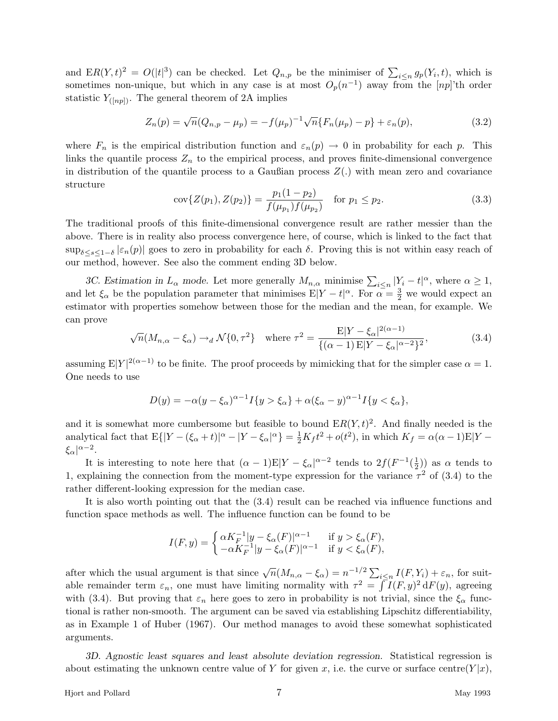and  $ER(Y, t)^2 = O(|t|^3)$  can be checked. Let  $Q_{n,p}$  be the minimiser of  $\sum_{i \leq n} g_p(Y_i, t)$ , which is sometimes non-unique, but which in any case is at most  $O_p(n^{-1})$  away from the [*np*]'th order statistic  $Y_{([np])}$ . The general theorem of 2A implies

$$
Z_n(p) = \sqrt{n}(Q_{n,p} - \mu_p) = -f(\mu_p)^{-1}\sqrt{n}\{F_n(\mu_p) - p\} + \varepsilon_n(p),
$$
\n(3.2)

where  $F_n$  is the empirical distribution function and  $\varepsilon_n(p) \to 0$  in probability for each *p*. This links the quantile process  $Z_n$  to the empirical process, and proves finite-dimensional convergence in distribution of the quantile process to a Gaußian process *Z*(*.*) with mean zero and covariance structure

$$
cov{Z(p_1), Z(p_2)} = \frac{p_1(1 - p_2)}{f(\mu_{p_1})f(\mu_{p_2})} \quad \text{for } p_1 \le p_2.
$$
\n(3.3)

The traditional proofs of this finite-dimensional convergence result are rather messier than the above. There is in reality also process convergence here, of course, which is linked to the fact that sup<sub> $\delta$ <*s*<1− $\delta$  | $\varepsilon$ <sub>n</sub>(*p*)| goes to zero in probability for each  $\delta$ . Proving this is not within easy reach of</sub> our method, however. See also the comment ending 3D below.

*3C. Estimation in*  $L_{\alpha}$  *mode.* Let more generally  $M_{n,\alpha}$  minimise  $\sum_{i \leq n} |Y_i - t|^{\alpha}$ , where  $\alpha \geq 1$ , and let  $\xi_{\alpha}$  be the population parameter that minimises  $E|Y - t|^{\alpha}$ . For  $\alpha = \frac{3}{2}$  we would expect an estimator with properties somehow between those for the median and the mean, for example. We can prove

$$
\sqrt{n}(M_{n,\alpha} - \xi_{\alpha}) \to_d \mathcal{N}\{0,\tau^2\} \quad \text{where } \tau^2 = \frac{\mathbb{E}|Y - \xi_{\alpha}|^{2(\alpha - 1)}}{\{(\alpha - 1)\mathbb{E}|Y - \xi_{\alpha}|^{\alpha - 2}\}^2},\tag{3.4}
$$

assuming  $E|Y|^{2(\alpha-1)}$  to be finite. The proof proceeds by mimicking that for the simpler case  $\alpha = 1$ . One needs to use

$$
D(y) = -\alpha (y - \xi_{\alpha})^{\alpha - 1} I\{y > \xi_{\alpha}\} + \alpha (\xi_{\alpha} - y)^{\alpha - 1} I\{y < \xi_{\alpha}\},
$$

and it is somewhat more cumbersome but feasible to bound  $ER(Y, t)^2$ . And finally needed is the analytical fact that  $E\{|Y-(\xi_{\alpha}+t)|^{\alpha}-|Y-\xi_{\alpha}|^{\alpha}\}=\frac{1}{2}K_{f}t^{2}+o(t^{2}),$  in which  $K_{f}=\alpha(\alpha-1)E|Y-\xi_{\alpha}|^{\alpha}$ *ξα*| *<sup>α</sup>*−<sup>2</sup>.

It is interesting to note here that  $(\alpha - 1)E|Y - \xi_{\alpha}|^{\alpha - 2}$  tends to  $2f(F^{-1}(\frac{1}{2}))$  as  $\alpha$  tends to 1, explaining the connection from the moment-type expression for the variance  $\tau^2$  of (3.4) to the rather different-looking expression for the median case.

It is also worth pointing out that the (3.4) result can be reached via influence functions and function space methods as well. The influence function can be found to be

$$
I(F,y) = \begin{cases} \alpha K_F^{-1} |y - \xi_\alpha(F)|^{\alpha - 1} & \text{if } y > \xi_\alpha(F), \\ -\alpha K_F^{-1} |y - \xi_\alpha(F)|^{\alpha - 1} & \text{if } y < \xi_\alpha(F), \end{cases}
$$

after which the usual argument is that since  $\sqrt{n}(M_{n,\alpha} - \xi_{\alpha}) = n^{-1/2} \sum_{i \leq n} I(F, Y_i) + \varepsilon_n$ , for suitable remainder term  $\varepsilon_n$ , one must have limiting normality with  $\tau^2 = \int I(F, y)^2 dF(y)$ , agreeing with (3.4). But proving that  $\varepsilon_n$  here goes to zero in probability is not trivial, since the  $\xi_\alpha$  functional is rather non-smooth. The argument can be saved via establishing Lipschitz differentiability, as in Example 1 of Huber (1967). Our method manages to avoid these somewhat sophisticated arguments.

*3D. Agnostic least squares and least absolute deviation regression.* Statistical regression is about estimating the unknown centre value of Y for given x, i.e. the curve or surface centre( $Y|x$ ),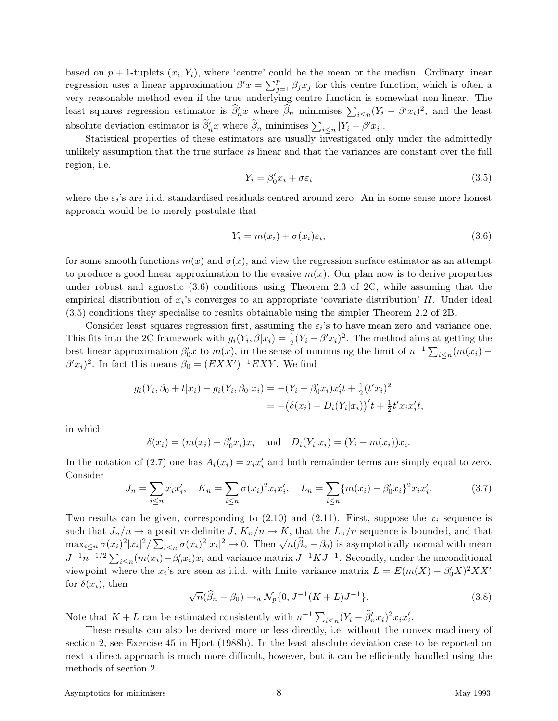based on  $p + 1$ -tuplets  $(x_i, Y_i)$ , where 'centre' could be the mean or the median. Ordinary linear regression uses a linear approximation  $\beta' x = \sum_{j=1}^p \beta_j x_j$  for this centre function, which is often a very reasonable method even if the true underlying centre function is somewhat non-linear. The least squares regression estimator is  $\hat{\beta}'_n x$  where  $\hat{\beta}_n$  minimises  $\sum_{i \leq n} (Y_i - \beta' x_i)^2$ , and the least absolute deviation estimator is  $\tilde{\beta}'_n x$  where  $\tilde{\beta}_n$  minimises  $\sum_{i \leq n} |Y_i - \beta' x_i|$ .

Statistical properties of these estimators are usually investigated only under the admittedly unlikely assumption that the true surface is linear and that the variances are constant over the full region, i.e.

$$
Y_i = \beta'_0 x_i + \sigma \varepsilon_i \tag{3.5}
$$

where the  $\varepsilon_i$ 's are i.i.d. standardised residuals centred around zero. An in some sense more honest approach would be to merely postulate that

$$
Y_i = m(x_i) + \sigma(x_i)\varepsilon_i,\tag{3.6}
$$

for some smooth functions  $m(x)$  and  $\sigma(x)$ , and view the regression surface estimator as an attempt to produce a good linear approximation to the evasive  $m(x)$ . Our plan now is to derive properties under robust and agnostic (3.6) conditions using Theorem 2.3 of 2C, while assuming that the empirical distribution of *xi*'s converges to an appropriate 'covariate distribution' *H*. Under ideal (3.5) conditions they specialise to results obtainable using the simpler Theorem 2.2 of 2B.

Consider least squares regression first, assuming the  $\varepsilon_i$ 's to have mean zero and variance one. This fits into the 2C framework with  $g_i(Y_i, \beta | x_i) = \frac{1}{2}(Y_i - \beta' x_i)^2$ . The method aims at getting the best linear approximation  $\beta'_0 x$  to  $m(x)$ , in the sense of minimising the limit of  $n^{-1} \sum_{i \leq n} (m(x_i) \beta' x_i$ <sup>2</sup>. In fact this means  $\beta_0 = (EXX')^{-1}EXY$ . We find

$$
g_i(Y_i, \beta_0 + t | x_i) - g_i(Y_i, \beta_0 | x_i) = -(Y_i - \beta'_0 x_i) x'_i t + \frac{1}{2} (t' x_i)^2
$$
  
= 
$$
- (\delta(x_i) + D_i(Y_i | x_i))' t + \frac{1}{2} t' x_i x'_i t,
$$

in which

$$
\delta(x_i) = (m(x_i) - \beta'_0 x_i)x_i \quad \text{and} \quad D_i(Y_i|x_i) = (Y_i - m(x_i))x_i.
$$

In the notation of (2.7) one has  $A_i(x_i) = x_i x_i'$  and both remainder terms are simply equal to zero. Consider

$$
J_n = \sum_{i \le n} x_i x'_i, \quad K_n = \sum_{i \le n} \sigma(x_i)^2 x_i x'_i, \quad L_n = \sum_{i \le n} \{m(x_i) - \beta'_0 x_i\}^2 x_i x'_i. \tag{3.7}
$$

Two results can be given, corresponding to (2.10) and (2.11). First, suppose the *x<sup>i</sup>* sequence is such that  $J_n/n \to a$  positive definite *J*,  $K_n/n \to K$ , that the  $L_n/n$  sequence is bounded, and that max<sub>i</sub> $\leq_n \sigma(x_i)^2 |x_i|^2 / \sum_{i \leq n} \sigma(x_i)^2 |x_i|^2 \to 0$ . Then  $\sqrt{n}(\widehat{\beta}_n - \beta_0)$  is asymptotically normal with mean  $J^{-1}n^{-1/2}\sum_{i\leq n}(m(x_i)-\beta_0^{\prime}x_i)x_i$  and variance matrix  $J^{-1}KJ^{-1}$ . Secondly, under the unconditional viewpoint where the  $x_i$ 's are seen as i.i.d. with finite variance matrix  $L = E(m(X) - \beta_0' X)^2 X X'$ for  $\delta(x_i)$ , then

$$
\sqrt{n}(\widehat{\beta}_n - \beta_0) \rightarrow_d \mathcal{N}_p\{0, J^{-1}(K+L)J^{-1}\}.
$$
\n(3.8)

Note that  $K + L$  can be estimated consistently with  $n^{-1} \sum_{i \leq n} (Y_i - \widehat{\beta}'_n x_i)^2 x_i x'_i$ .

These results can also be derived more or less directly, i.e. without the convex machinery of section 2, see Exercise 45 in Hjort (1988b). In the least absolute deviation case to be reported on next a direct approach is much more difficult, however, but it can be efficiently handled using the methods of section 2.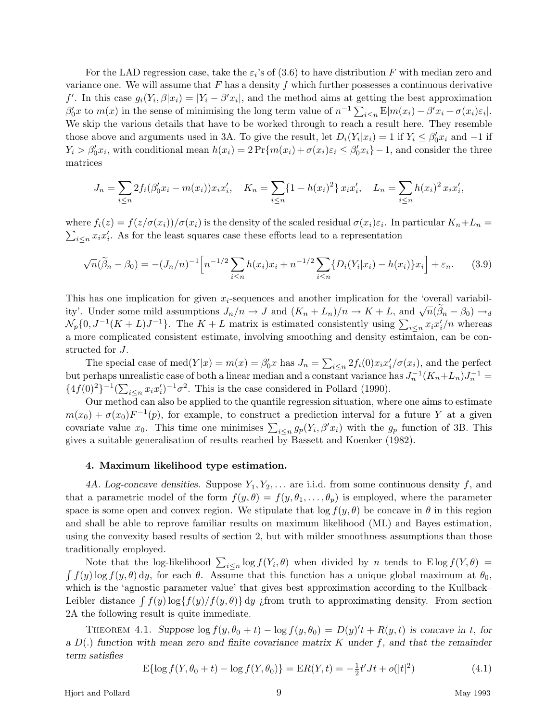For the LAD regression case, take the  $\varepsilon_i$ 's of (3.6) to have distribution F with median zero and variance one. We will assume that *F* has a density *f* which further possesses a continuous derivative *f*<sup> $\prime$ </sup>. In this case  $g_i(Y_i, \beta | x_i) = |Y_i - \beta' x_i|$ , and the method aims at getting the best approximation  $\beta'_0 x$  to  $m(x)$  in the sense of minimising the long term value of  $n^{-1} \sum_{i \leq n} E[m(x_i) - \beta' x_i + \sigma(x_i)\varepsilon_i].$ We skip the various details that have to be worked through to reach a result here. They resemble those above and arguments used in 3A. To give the result, let  $D_i(Y_i|x_i) = 1$  if  $Y_i \leq \beta'_0 x_i$  and  $-1$  if  $Y_i > \beta'_0 x_i$ , with conditional mean  $h(x_i) = 2 \Pr\{m(x_i) + \sigma(x_i)\varepsilon_i \leq \beta'_0 x_i\} - 1$ , and consider the three matrices

$$
J_n = \sum_{i \le n} 2f_i(\beta'_0 x_i - m(x_i)) x_i x'_i, \quad K_n = \sum_{i \le n} \{1 - h(x_i)^2\} x_i x'_i, \quad L_n = \sum_{i \le n} h(x_i)^2 x_i x'_i,
$$

where  $f_i(z) = f(z/\sigma(x_i))/\sigma(x_i)$  is the density of the scaled residual  $\sigma(x_i)\varepsilon_i$ . In particular  $K_n + L_n =$  $\sum_{i \leq n} x_i x'_i$ . As for the least squares case these efforts lead to a representation

$$
\sqrt{n}(\tilde{\beta}_n - \beta_0) = -(J_n/n)^{-1} \Big[ n^{-1/2} \sum_{i \le n} h(x_i) x_i + n^{-1/2} \sum_{i \le n} \{ D_i(Y_i | x_i) - h(x_i) \} x_i \Big] + \varepsilon_n. \tag{3.9}
$$

This has one implication for given *xi*-sequences and another implication for the 'overall variability'. Under some mild assumptions  $J_n/n \to J$  and  $(K_n + L_n)/n \to K + L$ , and  $\sqrt{n}(\beta_n - \beta_0) \to_d$  $\mathcal{N}_p\{0, J^{-1}(K+L)J^{-1}\}.$  The  $K+L$  matrix is estimated consistently using  $\sum_{i\leq n} x_i x'_i/n$  whereas a more complicated consistent estimate, involving smoothing and density estimtaion, can be constructed for *J*.

The special case of  $\text{med}(Y|x) = m(x) = \beta'_0 x$  has  $J_n = \sum_{i \leq n} 2f_i(0)x_i x'_i/\sigma(x_i)$ , and the perfect but perhaps unrealistic case of both a linear median and a constant variance has  $J_n^{-1}(K_n+L_n)J_n^{-1}$  ${4f(0)^2}^{-1} (\sum_{i \leq n} x_i x_i')^{-1} \sigma^2$ . This is the case considered in Pollard (1990).

Our method can also be applied to the quantile regression situation, where one aims to estimate  $m(x_0) + \sigma(x_0)F^{-1}(p)$ , for example, to construct a prediction interval for a future *Y* at a given covariate value  $x_0$ . This time one minimises  $\sum_{i \leq n} g_p(Y_i, \beta' x_i)$  with the  $g_p$  function of 3B. This gives a suitable generalisation of results reached by Bassett and Koenker (1982).

# **4. Maximum likelihood type estimation.**

4A. Log-concave densities. Suppose  $Y_1, Y_2, \ldots$  are i.i.d. from some continuous density  $f$ , and that a parametric model of the form  $f(y, \theta) = f(y, \theta_1, \dots, \theta_p)$  is employed, where the parameter space is some open and convex region. We stipulate that  $\log f(y, \theta)$  be concave in  $\theta$  in this region and shall be able to reprove familiar results on maximum likelihood (ML) and Bayes estimation, using the convexity based results of section 2, but with milder smoothness assumptions than those traditionally employed.

Note that the log-likelihood  $\sum_{i\leq n} \log f(Y_i, \theta)$  when divided by *n* tends to E log  $f(Y, \theta)$  $\int f(y) \log f(y, \theta) dy$ , for each  $\theta$ . Assume that this function has a unique global maximum at  $\theta_0$ , which is the 'agnostic parameter value' that gives best approximation according to the Kullback– Leibler distance  $\int f(y) \log\{f(y)/f(y,\theta)\} dy$  *i*from truth to approximating density. From section 2A the following result is quite immediate.

THEOREM 4.1. *Suppose*  $\log f(y, \theta_0 + t) - \log f(y, \theta_0) = D(y)^t t + R(y, t)$  *is concave in t, for a D*(*.*) *function with mean zero and finite covariance matrix K under f, and that the remainder term satisfies*

$$
E{\log f(Y, \theta_0 + t) - \log f(Y, \theta_0)} = ER(Y, t) = -\frac{1}{2}t'Jt + o(|t|^2)
$$
\n(4.1)

Hjort and Pollard 9 May 1993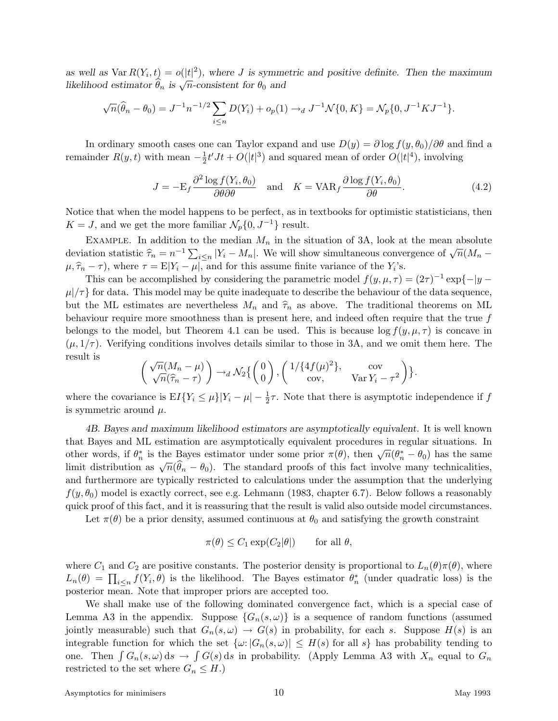*as well as*  $\text{Var } R(Y_i, t) = o(|t|^2)$ *, where J* is symmetric and positive definite. Then the maximum *likelihood estimator*  $\hat{\theta}_n$  *is*  $\sqrt{n}$ -consistent for  $\theta_0$  and

$$
\sqrt{n}(\widehat{\theta}_n - \theta_0) = J^{-1}n^{-1/2} \sum_{i \le n} D(Y_i) + o_p(1) \rightarrow_d J^{-1} \mathcal{N} \{0, K\} = \mathcal{N}_p \{0, J^{-1} K J^{-1}\}.
$$

In ordinary smooth cases one can Taylor expand and use  $D(y) = \partial \log f(y, \theta_0) / \partial \theta$  and find a remainder  $R(y, t)$  with mean  $-\frac{1}{2}t'Jt + O(|t|^3)$  and squared mean of order  $O(|t|^4)$ , involving

$$
J = -E_f \frac{\partial^2 \log f(Y_i, \theta_0)}{\partial \theta \partial \theta} \quad \text{and} \quad K = \text{VAR}_f \frac{\partial \log f(Y_i, \theta_0)}{\partial \theta}.
$$
 (4.2)

Notice that when the model happens to be perfect, as in textbooks for optimistic statisticians, then  $K = J$ , and we get the more familiar  $\mathcal{N}_p\{0, J^{-1}\}\)$  result.

EXAMPLE. In addition to the median  $M_n$  in the situation of 3A, look at the mean absolute deviation statistic  $\hat{\tau}_n = n^{-1} \sum_{i \leq n} |Y_i - M_n|$ . We will show simultaneous convergence of  $\sqrt{n}(M_n - \hat{\tau}_n)$  $\mu, \hat{\tau}_n - \tau$ , where  $\tau = E|Y_i - \mu|$ , and for this assume finite variance of the *Y*<sub>*i*</sub>'s.

This can be accomplished by considering the parametric model  $f(y, \mu, \tau) = (2\tau)^{-1} \exp\{-|y - \tau| \}$  $\mu$ / $\tau$ } for data. This model may be quite inadequate to describe the behaviour of the data sequence, but the ML estimates are nevertheless  $M_n$  and  $\hat{\tau}_n$  as above. The traditional theorems on ML behaviour require more smoothness than is present here, and indeed often require that the true *f* belongs to the model, but Theorem 4.1 can be used. This is because  $\log f(y, \mu, \tau)$  is concave in  $(\mu, 1/\tau)$ . Verifying conditions involves details similar to those in 3A, and we omit them here. The result is

$$
\begin{pmatrix} \sqrt{n}(M_n - \mu) \\ \sqrt{n}(\widehat{\tau}_n - \tau) \end{pmatrix} \rightarrow_d \mathcal{N}_2 \left\{ \begin{pmatrix} 0 \\ 0 \end{pmatrix}, \begin{pmatrix} 1/\{4f(\mu)^2\}, & \text{cov} \\ \text{cov}, & \text{Var}\,Y_i - \tau^2 \end{pmatrix} \right\}.
$$

where the covariance is  $EI\{Y_i \leq \mu\}|Y_i - \mu| - \frac{1}{2}\tau$ . Note that there is asymptotic independence if *f* is symmetric around *µ*.

*4B. Bayes and maximum likelihood estimators are asymptotically equivalent.* It is well known that Bayes and ML estimation are asymptotically equivalent procedures in regular situations. In other words, if  $θ_n^*$  is the Bayes estimator under some prior  $π(θ)$ , then  $\sqrt{n}(\theta_n^* - \theta_0)$  has the same limit distribution as  $\sqrt{n}(\hat{\theta}_n - \theta_0)$ . The standard proofs of this fact involve many technicalities, and furthermore are typically restricted to calculations under the assumption that the underlying  $f(y, \theta_0)$  model is exactly correct, see e.g. Lehmann (1983, chapter 6.7). Below follows a reasonably quick proof of this fact, and it is reassuring that the result is valid also outside model circumstances.

Let  $\pi(\theta)$  be a prior density, assumed continuous at  $\theta_0$  and satisfying the growth constraint

$$
\pi(\theta) \le C_1 \exp(C_2|\theta|) \quad \text{for all } \theta,
$$

where  $C_1$  and  $C_2$  are positive constants. The posterior density is proportional to  $L_n(\theta)\pi(\theta)$ , where  $L_n(\theta) = \prod_{i \leq n} f(Y_i, \theta)$  is the likelihood. The Bayes estimator  $\theta_n^*$  (under quadratic loss) is the posterior mean. Note that improper priors are accepted too.

We shall make use of the following dominated convergence fact, which is a special case of Lemma A3 in the appendix. Suppose  $\{G_n(s,\omega)\}\$ is a sequence of random functions (assumed jointly measurable) such that  $G_n(s, \omega) \to G(s)$  in probability, for each *s*. Suppose  $H(s)$  is an integrable function for which the set  $\{\omega: |G_n(s, \omega)| \leq H(s)$  for all  $s\}$  has probability tending to one. Then  $\int G_n(s, \omega) ds \to \int G(s) ds$  in probability. (Apply Lemma A3 with  $X_n$  equal to  $G_n$ restricted to the set where  $G_n \leq H$ .)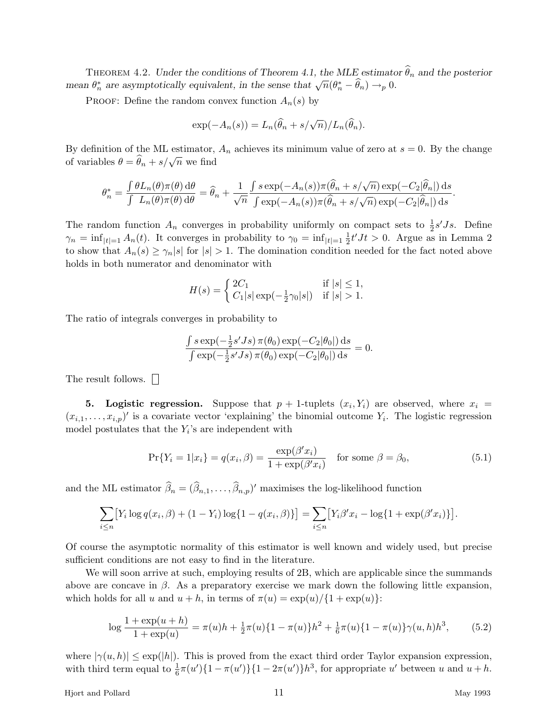THEOREM 4.2. *Under the conditions of Theorem 4.1, the MLE* estimator  $\widehat{\theta}_n$  and the posterior *mean*  $\theta_n^*$  are asymptotically equivalent, in the sense that  $\sqrt{n}(\theta_n^* - \hat{\theta}_n) \rightarrow_p 0$ .

PROOF: Define the random convex function  $A_n(s)$  by

$$
\exp(-A_n(s)) = L_n(\widehat{\theta}_n + s/\sqrt{n})/L_n(\widehat{\theta}_n).
$$

By definition of the ML estimator,  $A_n$  achieves its minimum value of zero at  $s = 0$ . By the change of variables  $\theta = \hat{\theta}_n + s/\sqrt{n}$  we find

$$
\theta_n^* = \frac{\int \theta L_n(\theta) \pi(\theta) \, d\theta}{\int L_n(\theta) \pi(\theta) \, d\theta} = \hat{\theta}_n + \frac{1}{\sqrt{n}} \frac{\int s \exp(-A_n(s)) \pi(\hat{\theta}_n + s/\sqrt{n}) \exp(-C_2|\hat{\theta}_n|) \, ds}{\int \exp(-A_n(s)) \pi(\hat{\theta}_n + s/\sqrt{n}) \exp(-C_2|\hat{\theta}_n|) \, ds}.
$$

The random function  $A_n$  converges in probability uniformly on compact sets to  $\frac{1}{2}s'Js$ . Define  $\gamma_n = \inf_{|t|=1} A_n(t)$ . It converges in probability to  $\gamma_0 = \inf_{|t|=1} \frac{1}{2} t' J t > 0$ . Argue as in Lemma 2 to show that  $A_n(s) \geq \gamma_n |s|$  for  $|s| > 1$ . The domination condition needed for the fact noted above holds in both numerator and denominator with

$$
H(s) = \begin{cases} 2C_1 & \text{if } |s| \le 1, \\ C_1|s| \exp(-\frac{1}{2}\gamma_0|s|) & \text{if } |s| > 1. \end{cases}
$$

The ratio of integrals converges in probability to

$$
\frac{\int s \exp(-\frac{1}{2}s'Js)\,\pi(\theta_0)\exp(-C_2|\theta_0|)\,\mathrm{d}s}{\int \exp(-\frac{1}{2}s'Js)\,\pi(\theta_0)\exp(-C_2|\theta_0|)\,\mathrm{d}s} = 0.
$$

The result follows.

**5.** Logistic regression. Suppose that  $p + 1$ -tuplets  $(x_i, Y_i)$  are observed, where  $x_i =$  $(x_{i,1},...,x_{i,p})'$  is a covariate vector 'explaining' the binomial outcome  $Y_i$ . The logistic regression model postulates that the *Yi*'s are independent with

$$
\Pr\{Y_i = 1 | x_i\} = q(x_i, \beta) = \frac{\exp(\beta' x_i)}{1 + \exp(\beta' x_i)} \quad \text{for some } \beta = \beta_0,
$$
\n
$$
(5.1)
$$

and the ML estimator  $\widehat{\beta}_n = (\widehat{\beta}_{n,1}, \ldots, \widehat{\beta}_{n,p})'$  maximises the log-likelihood function

$$
\sum_{i \le n} [Y_i \log q(x_i, \beta) + (1 - Y_i) \log \{1 - q(x_i, \beta)\}] = \sum_{i \le n} [Y_i \beta' x_i - \log \{1 + \exp(\beta' x_i)\}].
$$

Of course the asymptotic normality of this estimator is well known and widely used, but precise sufficient conditions are not easy to find in the literature.

We will soon arrive at such, employing results of 2B, which are applicable since the summands above are concave in  $\beta$ . As a preparatory exercise we mark down the following little expansion, which holds for all *u* and  $u + h$ , in terms of  $\pi(u) = \exp(u)/\{1 + \exp(u)\}$ :

$$
\log \frac{1 + \exp(u+h)}{1 + \exp(u)} = \pi(u)h + \frac{1}{2}\pi(u)\{1 - \pi(u)\}h^2 + \frac{1}{6}\pi(u)\{1 - \pi(u)\}\gamma(u,h)h^3,\tag{5.2}
$$

where  $|\gamma(u, h)| \leq \exp(|h|)$ . This is proved from the exact third order Taylor expansion expression, with third term equal to  $\frac{1}{6}\pi(u')\{1 - \pi(u')\}\{1 - 2\pi(u')\}h^3$ , for appropriate *u'* between *u* and  $u + h$ .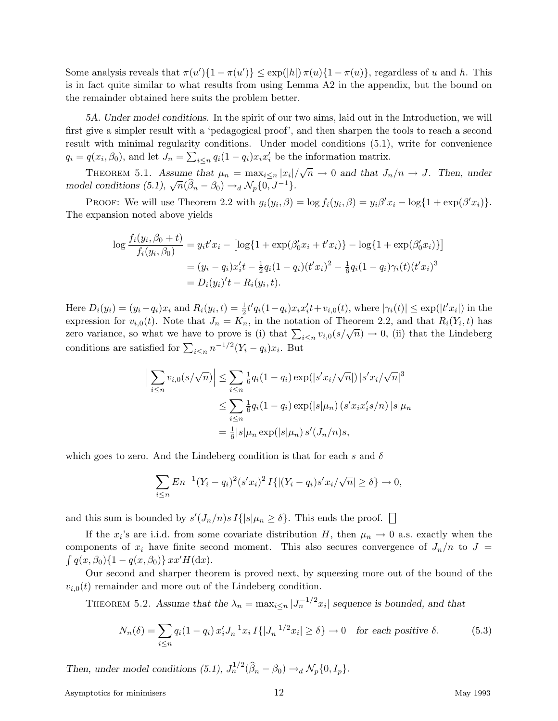Some analysis reveals that  $\pi(u')\{1-\pi(u')\} \leq \exp(|h|)\pi(u)\{1-\pi(u)\}$ , regardless of *u* and *h*. This is in fact quite similar to what results from using Lemma A2 in the appendix, but the bound on the remainder obtained here suits the problem better.

*5A. Under model conditions.* In the spirit of our two aims, laid out in the Introduction, we will first give a simpler result with a 'pedagogical proof', and then sharpen the tools to reach a second result with minimal regularity conditions. Under model conditions (5.1), write for convenience  $q_i = q(x_i, \beta_0)$ , and let  $J_n = \sum_{i \le n} q_i(1 - q_i)x_i x_i'$  be the information matrix.

THEOREM 5.1. Assume that  $\mu_n = \max_{i \leq n} |x_i| / \sqrt{n} \to 0$  and that  $J_n/n \to J$ . Then, under *model conditions (5.1),*  $\sqrt{n}(\hat{\beta}_n - \beta_0) \rightarrow_d \mathcal{N}_p\{0, J^{-1}\}.$ 

PROOF: We will use Theorem 2.2 with  $g_i(y_i, \beta) = \log f_i(y_i, \beta) = y_i \beta' x_i - \log \{1 + \exp(\beta' x_i)\}.$ The expansion noted above yields

$$
\log \frac{f_i(y_i, \beta_0 + t)}{f_i(y_i, \beta_0)} = y_i t' x_i - [\log\{1 + \exp(\beta'_0 x_i + t' x_i)\} - \log\{1 + \exp(\beta'_0 x_i)\}]
$$
  
=  $(y_i - q_i)x'_i t - \frac{1}{2} q_i (1 - q_i) (t' x_i)^2 - \frac{1}{6} q_i (1 - q_i) \gamma_i (t) (t' x_i)^3$   
=  $D_i(y_i)' t - R_i(y_i, t).$ 

Here  $D_i(y_i) = (y_i - q_i)x_i$  and  $R_i(y_i, t) = \frac{1}{2}t'q_i(1 - q_i)x_ix_i't + v_{i,0}(t)$ , where  $|\gamma_i(t)| \le \exp(|t'x_i|)$  in the expression for  $v_{i,0}(t)$ . Note that  $J_n = K_n$ , in the notation of Theorem 2.2, and that  $R_i(Y_i, t)$  has zero variance, so what we have to prove is (i) that  $\sum_{i \leq n} v_{i,0}(s/\sqrt{n}) \to 0$ , (ii) that the Lindeberg conditions are satisfied for  $\sum_{i \leq n} n^{-1/2} (Y_i - q_i)x_i$ . But

$$
\left| \sum_{i \le n} v_{i,0}(s/\sqrt{n}) \right| \le \sum_{i \le n} \frac{1}{6} q_i (1 - q_i) \exp(|s'x_i/\sqrt{n}|) |s'x_i/\sqrt{n}|^3
$$
  

$$
\le \sum_{i \le n} \frac{1}{6} q_i (1 - q_i) \exp(|s|\mu_n) (s'x_i x_i' s/n) |s|\mu_n
$$
  

$$
= \frac{1}{6} |s|\mu_n \exp(|s|\mu_n) s'(J_n/n) s,
$$

which goes to zero. And the Lindeberg condition is that for each  $s$  and  $\delta$ 

$$
\sum_{i \le n} E_n^{-1} (Y_i - q_i)^2 (s'x_i)^2 I\{ |(Y_i - q_i)s'x_i/\sqrt{n}| \ge \delta \} \to 0,
$$

and this sum is bounded by  $s'(J_n/n)s I\{|s|\mu_n \geq \delta\}$ . This ends the proof.

If the  $x_i$ 's are i.i.d. from some covariate distribution *H*, then  $\mu_n \to 0$  a.s. exactly when the components of  $x_i$  have finite second moment. This also secures convergence of  $J_n/n$  to  $J =$  $\int q(x,\beta_0)\{1-q(x,\beta_0)\}\,xx' H(\mathrm{d}x).$ 

Our second and sharper theorem is proved next, by squeezing more out of the bound of the  $v_{i,0}(t)$  remainder and more out of the Lindeberg condition.

THEOREM 5.2. Assume that the  $\lambda_n = \max_{i \leq n} |J_n^{-1/2} x_i|$  sequence is bounded, and that

$$
N_n(\delta) = \sum_{i \le n} q_i (1 - q_i) x_i' J_n^{-1} x_i I\{|J_n^{-1/2} x_i| \ge \delta\} \to 0 \quad \text{for each positive } \delta.
$$
 (5.3)

*Then, under model conditions (5.1),*  $J_n^{1/2}(\hat{\beta}_n - \beta_0) \rightarrow_d \mathcal{N}_p\{0, I_p\}$ .

Asymptotics for minimisers 12 and 1993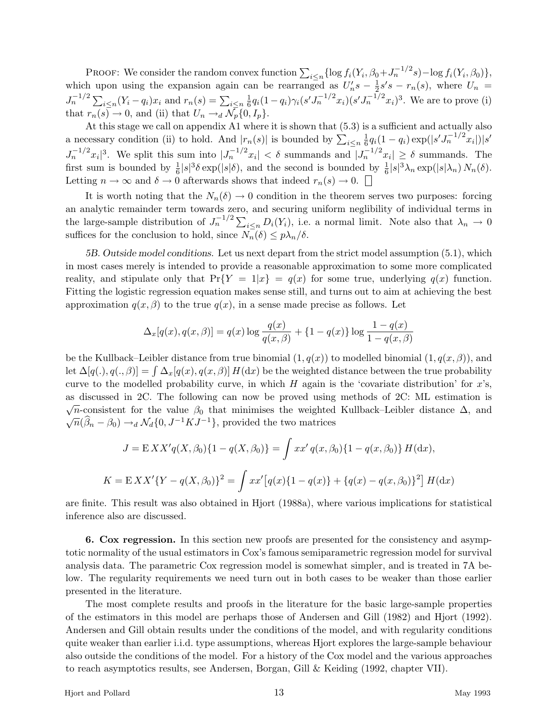PROOF: We consider the random convex function  $\sum_{i \leq n} {\log f_i(Y_i, \beta_0 + J_n^{-1/2} s) - \log f_i(Y_i, \beta_0)}$ , which upon using the expansion again can be rearranged as  $U_n's - \frac{1}{2}s's - r_n(s)$ , where  $U_n =$  $J_n^{-1/2} \sum_{i \leq n} (Y_i - q_i)x_i$  and  $r_n(s) = \sum_{i \leq n} \frac{1}{6} q_i (1 - q_i) \gamma_i (s' J_n^{-1/2} x_i) (s' J_n^{-1/2} x_i)^3$ . We are to prove (i) that  $r_n(s) \to 0$ , and (ii) that  $U_n \to d \mathcal{N}_p\{0, I_p\}.$ 

At this stage we call on appendix A1 where it is shown that (5.3) is a sufficient and actually also a necessary condition (ii) to hold. And  $|r_n(s)|$  is bounded by  $\sum_{i \leq n} \frac{1}{6} q_i (1 - q_i) \exp(|s' J_n^{-1/2} x_i|) |s'$  $J_n^{-1/2}x_i|^3$ . We split this sum into  $|J_n^{-1/2}x_i| < \delta$  summands and  $|J_n^{-1/2}x_i| \geq \delta$  summands. The first sum is bounded by  $\frac{1}{6}|s|^3\delta \exp(|s|\delta)$ , and the second is bounded by  $\frac{1}{6}|s|^3\lambda_n \exp(|s|\lambda_n) N_n(\delta)$ . Letting  $n \to \infty$  and  $\delta \to 0$  afterwards shows that indeed  $r_n(s) \to 0$ .

It is worth noting that the  $N_n(\delta) \to 0$  condition in the theorem serves two purposes: forcing an analytic remainder term towards zero, and securing uniform neglibility of individual terms in the large-sample distribution of  $J_n^{-1/2} \sum_{i \le n} D_i(Y_i)$ , i.e. a normal limit. Note also that  $\lambda_n \to 0$ suffices for the conclusion to hold, since  $N_n(\delta) \leq p\lambda_n/\delta$ .

*5B. Outside model conditions.* Let us next depart from the strict model assumption (5.1), which in most cases merely is intended to provide a reasonable approximation to some more complicated reality, and stipulate only that  $Pr{Y = 1|x} = q(x)$  for some true, underlying  $q(x)$  function. Fitting the logistic regression equation makes sense still, and turns out to aim at achieving the best approximation  $q(x, \beta)$  to the true  $q(x)$ , in a sense made precise as follows. Let

$$
\Delta_x[q(x), q(x, \beta)] = q(x) \log \frac{q(x)}{q(x, \beta)} + \{1 - q(x)\} \log \frac{1 - q(x)}{1 - q(x, \beta)}
$$

be the Kullback–Leibler distance from true binomial  $(1, q(x))$  to modelled binomial  $(1, q(x, \beta))$ , and let  $\Delta[q(.), q(.), \beta] = \int \Delta_x[q(x), q(x, \beta)] H(dx)$  be the weighted distance between the true probability curve to the modelled probability curve, in which *H* again is the 'covariate distribution' for *x*'s, as discussed in 2C. The following can now be proved using methods of 2C: ML estimation is  $\sqrt{n}$ -consistent for the value  $\beta_0$  that minimises the weighted Kullback–Leibler distance  $\Delta$ , and  $\sqrt{n}(\hat{\beta}_n - \beta_0) \rightarrow_d \mathcal{N}_d\{0, J^{-1}KJ^{-1}\},$  provided the two matrices

$$
J = EXX'q(X, \beta_0)\{1 - q(X, \beta_0)\} = \int xx' q(x, \beta_0)\{1 - q(x, \beta_0)\} H(dx),
$$
  

$$
K = EXX'\{Y - q(X, \beta_0)\}^2 = \int xx'\big[q(x)\{1 - q(x)\} + \{q(x) - q(x, \beta_0)\}^2\big] H(dx)
$$

are finite. This result was also obtained in Hjort (1988a), where various implications for statistical inference also are discussed.

**6. Cox regression.** In this section new proofs are presented for the consistency and asymptotic normality of the usual estimators in Cox's famous semiparametric regression model for survival analysis data. The parametric Cox regression model is somewhat simpler, and is treated in 7A below. The regularity requirements we need turn out in both cases to be weaker than those earlier presented in the literature.

The most complete results and proofs in the literature for the basic large-sample properties of the estimators in this model are perhaps those of Andersen and Gill (1982) and Hjort (1992). Andersen and Gill obtain results under the conditions of the model, and with regularity conditions quite weaker than earlier i.i.d. type assumptions, whereas Hjort explores the large-sample behaviour also outside the conditions of the model. For a history of the Cox model and the various approaches to reach asymptotics results, see Andersen, Borgan, Gill & Keiding (1992, chapter VII).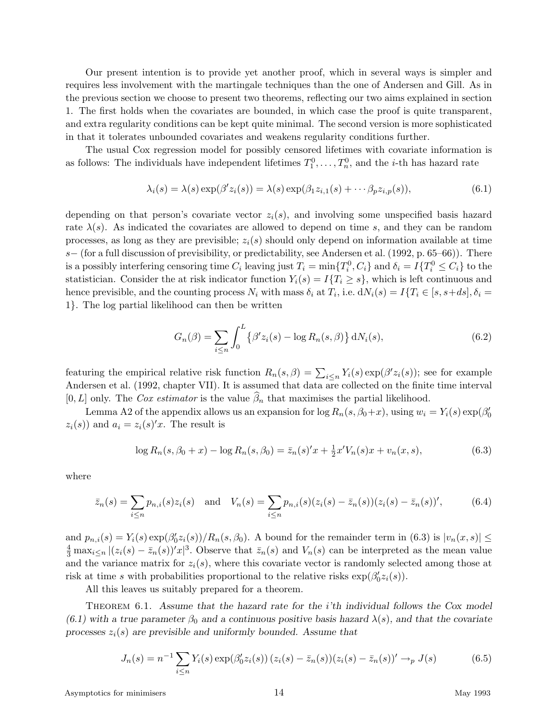Our present intention is to provide yet another proof, which in several ways is simpler and requires less involvement with the martingale techniques than the one of Andersen and Gill. As in the previous section we choose to present two theorems, reflecting our two aims explained in section 1. The first holds when the covariates are bounded, in which case the proof is quite transparent, and extra regularity conditions can be kept quite minimal. The second version is more sophisticated in that it tolerates unbounded covariates and weakens regularity conditions further.

The usual Cox regression model for possibly censored lifetimes with covariate information is as follows: The individuals have independent lifetimes  $T_1^0, \ldots, T_n^0$ , and the *i*-th has hazard rate

$$
\lambda_i(s) = \lambda(s) \exp(\beta' z_i(s)) = \lambda(s) \exp(\beta_1 z_{i,1}(s) + \cdots \beta_p z_{i,p}(s)),\tag{6.1}
$$

depending on that person's covariate vector  $z_i(s)$ , and involving some unspecified basis hazard rate  $\lambda(s)$ . As indicated the covariates are allowed to depend on time *s*, and they can be random processes, as long as they are previsible;  $z_i(s)$  should only depend on information available at time *s*− (for a full discussion of previsibility, or predictability, see Andersen et al. (1992, p. 65–66)). There is a possibly interfering censoring time  $C_i$  leaving just  $T_i = \min\{T_i^0, C_i\}$  and  $\delta_i = I\{T_i^0 \le C_i\}$  to the statistician. Consider the at risk indicator function  $Y_i(s) = I\{T_i \geq s\}$ , which is left continuous and hence previsible, and the counting process  $N_i$  with mass  $\delta_i$  at  $T_i$ , i.e.  $dN_i(s) = I\{T_i \in [s, s+ds], \delta_i = I\{T_i\}$ 1}. The log partial likelihood can then be written

$$
G_n(\beta) = \sum_{i \le n} \int_0^L \left\{ \beta' z_i(s) - \log R_n(s, \beta) \right\} dN_i(s),\tag{6.2}
$$

featuring the empirical relative risk function  $R_n(s, \beta) = \sum_{i \leq n} Y_i(s) \exp(\beta' z_i(s))$ ; see for example Andersen et al. (1992, chapter VII). It is assumed that data are collected on the finite time interval [0, L] only. The Cox estimator is the value  $\hat{\beta}_n$  that maximises the partial likelihood.

Lemma A2 of the appendix allows us an expansion for  $\log R_n(s, \beta_0+x)$ , using  $w_i = Y_i(s) \exp(\beta_0')$  $z_i(s)$  and  $a_i = z_i(s)$ '*x*. The result is

$$
\log R_n(s, \beta_0 + x) - \log R_n(s, \beta_0) = \bar{z}_n(s)'x + \frac{1}{2}x'V_n(s)x + v_n(x, s),
$$
\n(6.3)

where

$$
\bar{z}_n(s) = \sum_{i \le n} p_{n,i}(s) z_i(s) \text{ and } V_n(s) = \sum_{i \le n} p_{n,i}(s) (z_i(s) - \bar{z}_n(s)) (z_i(s) - \bar{z}_n(s))', \quad (6.4)
$$

and  $p_{n,i}(s) = Y_i(s) \exp(\beta_0^{\prime} z_i(s)) / R_n(s, \beta_0)$ . A bound for the remainder term in (6.3) is  $|v_n(x, s)| \le$  $\frac{4}{3}$  max<sub>*i* $\leq n$ </sub>  $|(z_i(s) - \bar{z}_n(s))'x|^3$ . Observe that  $\bar{z}_n(s)$  and  $V_n(s)$  can be interpreted as the mean value and the variance matrix for  $z_i(s)$ , where this covariate vector is randomly selected among those at risk at time *s* with probabilities proportional to the relative risks  $\exp(\beta'_0 z_i(s))$ .

All this leaves us suitably prepared for a theorem.

Theorem 6.1. *Assume that the hazard rate for the i'th individual follows the Cox model*  $(6.1)$  with a true parameter  $\beta_0$  and a continuous positive basis hazard  $\lambda(s)$ , and that the covariate *processes zi*(*s*) *are previsible and uniformly bounded. Assume that*

$$
J_n(s) = n^{-1} \sum_{i \le n} Y_i(s) \exp(\beta'_0 z_i(s)) (z_i(s) - \bar{z}_n(s)) (z_i(s) - \bar{z}_n(s))' \to_p J(s)
$$
(6.5)

Asymptotics for minimisers and 14 May 1993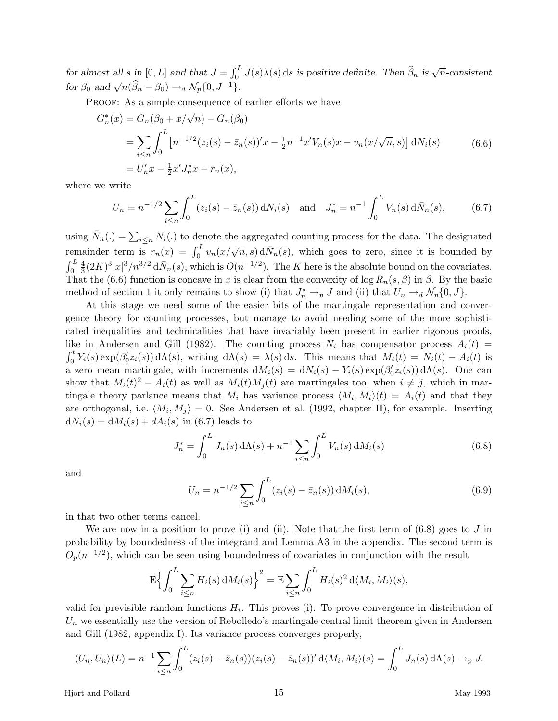for almost all s in [0, L] and that  $J = \int_0^L J(s)\lambda(s) ds$  is positive definite. Then  $\hat{\beta}_n$  is  $\sqrt{n}$ -consistent *for*  $\beta_0$  *and*  $\sqrt{n}(\widehat{\beta}_n - \beta_0) \rightarrow_d \mathcal{N}_p\{0, J^{-1}\}.$ 

PROOF: As a simple consequence of earlier efforts we have

$$
G_n^*(x) = G_n(\beta_0 + x/\sqrt{n}) - G_n(\beta_0)
$$
  
= 
$$
\sum_{i \le n} \int_0^L \left[ n^{-1/2} (z_i(s) - \bar{z}_n(s))'x - \frac{1}{2}n^{-1}x'V_n(s)x - v_n(x/\sqrt{n}, s) \right] dN_i(s)
$$
 (6.6)  
= 
$$
U'_n x - \frac{1}{2}x'J_n^* x - r_n(x),
$$

where we write

$$
U_n = n^{-1/2} \sum_{i \le n} \int_0^L (z_i(s) - \bar{z}_n(s)) dN_i(s) \text{ and } J_n^* = n^{-1} \int_0^L V_n(s) d\bar{N}_n(s), \quad (6.7)
$$

using  $\bar{N}_n(.) = \sum_{i \leq n} N_i(.)$  to denote the aggregated counting process for the data. The designated remainder term is  $r_n(x) = \int_0^L v_n(x/\sqrt{n}, s) d\bar{N}_n(s)$ , which goes to zero, since it is bounded by  $\int_0^L$  $\frac{4}{3}(2K)^3|x|^3/n^{3/2} d\bar{N}_n(s)$ , which is  $O(n^{-1/2})$ . The *K* here is the absolute bound on the covariates. That the (6.6) function is concave in *x* is clear from the convexity of log  $R_n(s, \beta)$  in  $\beta$ . By the basic method of section 1 it only remains to show (i) that  $J_n^* \to_p J$  and (ii) that  $U_n \to_d \mathcal{N}_p\{0, J\}$ .

At this stage we need some of the easier bits of the martingale representation and convergence theory for counting processes, but manage to avoid needing some of the more sophisticated inequalities and technicalities that have invariably been present in earlier rigorous proofs, like in Andersen and Gill (1982). The counting process  $N_i$  has compensator process  $A_i(t)$  =  $\int_0^t Y_i(s) \exp(\beta'_0 z_i(s)) d\Lambda(s)$ , writing  $d\Lambda(s) = \lambda(s) ds$ . This means that  $M_i(t) = N_i(t) - A_i(t)$  is a zero mean martingale, with increments  $dM_i(s) = dN_i(s) - Y_i(s) \exp(\beta'_0 z_i(s)) d\Lambda(s)$ . One can show that  $M_i(t)^2 - A_i(t)$  as well as  $M_i(t)M_i(t)$  are martingales too, when  $i \neq j$ , which in martingale theory parlance means that  $M_i$  has variance process  $\langle M_i, M_i \rangle(t) = A_i(t)$  and that they are orthogonal, i.e.  $\langle M_i, M_j \rangle = 0$ . See Andersen et al. (1992, chapter II), for example. Inserting  $dN_i(s) = dM_i(s) + dA_i(s)$  in (6.7) leads to

$$
J_n^* = \int_0^L J_n(s) \, d\Lambda(s) + n^{-1} \sum_{i \le n} \int_0^L V_n(s) \, dM_i(s) \tag{6.8}
$$

and

$$
U_n = n^{-1/2} \sum_{i \le n} \int_0^L (z_i(s) - \bar{z}_n(s)) \, dM_i(s), \tag{6.9}
$$

in that two other terms cancel.

We are now in a position to prove (i) and (ii). Note that the first term of (6.8) goes to *J* in probability by boundedness of the integrand and Lemma A3 in the appendix. The second term is  $O_p(n^{-1/2})$ , which can be seen using boundedness of covariates in conjunction with the result

$$
\mathcal{E}\left\{\int_0^L \sum_{i\leq n} H_i(s) dM_i(s)\right\}^2 = \mathcal{E}\sum_{i\leq n} \int_0^L H_i(s)^2 d\langle M_i, M_i\rangle(s),
$$

valid for previsible random functions  $H_i$ . This proves (i). To prove convergence in distribution of  $U_n$  we essentially use the version of Rebolledo's martingale central limit theorem given in Andersen and Gill (1982, appendix I). Its variance process converges properly,

$$
\langle U_n, U_n \rangle (L) = n^{-1} \sum_{i \leq n} \int_0^L (z_i(s) - \bar{z}_n(s))(z_i(s) - \bar{z}_n(s))' d\langle M_i, M_i \rangle (s) = \int_0^L J_n(s) d\Lambda(s) \to_p J,
$$

Hjort and Pollard 15 May 1993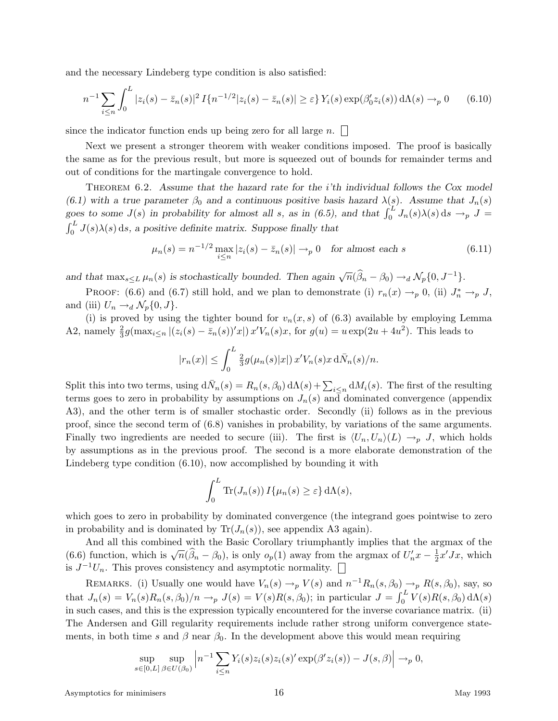and the necessary Lindeberg type condition is also satisfied:

$$
n^{-1} \sum_{i \le n} \int_0^L |z_i(s) - \bar{z}_n(s)|^2 I\{n^{-1/2} |z_i(s) - \bar{z}_n(s)| \ge \varepsilon\} Y_i(s) \exp(\beta_0' z_i(s)) d\Lambda(s) \to_p 0 \qquad (6.10)
$$

since the indicator function ends up being zero for all large *n*.

Next we present a stronger theorem with weaker conditions imposed. The proof is basically the same as for the previous result, but more is squeezed out of bounds for remainder terms and out of conditions for the martingale convergence to hold.

THEOREM 6.2. Assume that the hazard rate for the *i*'th individual follows the Cox model (6.1) with a true parameter  $\beta_0$  and a continuous positive basis hazard  $\lambda(s)$ . Assume that  $J_n(s)$ *goes to some J*(*s*) *in probability for almost all <i>s*, as in (6.5), and that  $\int_0^L J_n(s)\lambda(s) ds \to_p J =$ <br> $\int_a^L J(s)\lambda(s) ds$ , a positive definite matrix. Suppose finally that  $\int_0^L J(s)\lambda(s) ds$ , a positive definite matrix. Suppose finally that

$$
\mu_n(s) = n^{-1/2} \max_{i \le n} |z_i(s) - \bar{z}_n(s)| \to_p 0 \quad \text{for almost each } s \tag{6.11}
$$

*and that*  $\max_{s \leq L} \mu_n(s)$  *is stochastically bounded. Then again*  $\sqrt{n}(\hat{\beta}_n - \beta_0) \rightarrow_d \mathcal{N}_p\{0, J^{-1}\}.$ 

PROOF: (6.6) and (6.7) still hold, and we plan to demonstrate (i)  $r_n(x) \to_p 0$ , (ii)  $J_n^* \to_p J$ , and (iii)  $U_n \rightarrow_d \mathcal{N}_p\{0, J\}.$ 

(i) is proved by using the tighter bound for  $v_n(x, s)$  of (6.3) available by employing Lemma A2, namely  $\frac{2}{3}g(\max_{i\leq n} |(z_i(s)-\bar{z}_n(s))'x|) x'V_n(s)x$ , for  $g(u) = u \exp(2u + 4u^2)$ . This leads to

$$
|r_n(x)| \leq \int_0^L \frac{2}{3} g(\mu_n(s)|x|) x' V_n(s) x d\overline{N}_n(s)/n.
$$

Split this into two terms, using  $d\bar{N}_n(s) = R_n(s, \beta_0) d\Lambda(s) + \sum_{i \leq n} dM_i(s)$ . The first of the resulting terms goes to zero in probability by assumptions on  $J_n(s)$  and dominated convergence (appendix A3), and the other term is of smaller stochastic order. Secondly (ii) follows as in the previous proof, since the second term of (6.8) vanishes in probability, by variations of the same arguments. Finally two ingredients are needed to secure (iii). The first is  $\langle U_n, U_n \rangle (L) \to_p J$ , which holds by assumptions as in the previous proof. The second is a more elaborate demonstration of the Lindeberg type condition (6.10), now accomplished by bounding it with

$$
\int_0^L \text{Tr}(J_n(s)) I\{\mu_n(s) \geq \varepsilon\} d\Lambda(s),
$$

which goes to zero in probability by dominated convergence (the integrand goes pointwise to zero in probability and is dominated by  $Tr(J_n(s))$ , see appendix A3 again).

And all this combined with the Basic Corollary triumphantly implies that the argmax of the (6.6) function, which is  $\sqrt{n}(\hat{\beta}_n - \beta_0)$ , is only  $o_p(1)$  away from the argmax of  $U'_nx - \frac{1}{2}x'Jx$ , which is  $J^{-1}U_n$ . This proves consistency and asymptotic normality.  $\Box$ 

REMARKS. (i) Usually one would have  $V_n(s) \to_p V(s)$  and  $n^{-1}R_n(s, \beta_0) \to_p R(s, \beta_0)$ , say, so that  $J_n(s) = V_n(s)R_n(s,\beta_0)/n \rightarrow_p J(s) = V(s)R(s,\beta_0)$ ; in particular  $J = \int_0^L V(s)R(s,\beta_0) d\Lambda(s)$ in such cases, and this is the expression typically encountered for the inverse covariance matrix. (ii) The Andersen and Gill regularity requirements include rather strong uniform convergence statements, in both time *s* and  $\beta$  near  $\beta_0$ . In the development above this would mean requiring

$$
\sup_{s\in[0,L]}\sup_{\beta\in U(\beta_0)}\left|n^{-1}\sum_{i\leq n}Y_i(s)z_i(s)z_i(s)'\exp(\beta'z_i(s))-J(s,\beta)\right|\to_p 0,
$$

Asymptotics for minimisers 16 and 16 May 1993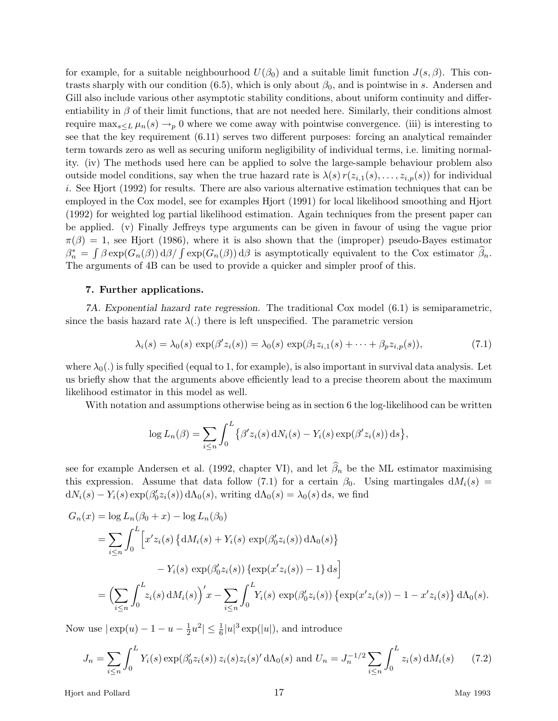for example, for a suitable neighbourhood  $U(\beta_0)$  and a suitable limit function  $J(s,\beta)$ . This contrasts sharply with our condition  $(6.5)$ , which is only about  $\beta_0$ , and is pointwise in *s*. Andersen and Gill also include various other asymptotic stability conditions, about uniform continuity and differentiability in  $\beta$  of their limit functions, that are not needed here. Similarly, their conditions almost require  $\max_{s\leq L}\mu_n(s)\to_p 0$  where we come away with pointwise convergence. (iii) is interesting to see that the key requirement (6.11) serves two different purposes: forcing an analytical remainder term towards zero as well as securing uniform negligibility of individual terms, i.e. limiting normality. (iv) The methods used here can be applied to solve the large-sample behaviour problem also outside model conditions, say when the true hazard rate is  $\lambda(s) r(z_{i,1}(s), \ldots, z_{i,p}(s))$  for individual *i*. See Hjort (1992) for results. There are also various alternative estimation techniques that can be employed in the Cox model, see for examples Hjort (1991) for local likelihood smoothing and Hjort (1992) for weighted log partial likelihood estimation. Again techniques from the present paper can be applied. (v) Finally Jeffreys type arguments can be given in favour of using the vague prior  $\pi(\beta) = 1$ , see Hjort (1986), where it is also shown that the (improper) pseudo-Bayes estimator  $\beta_n^* = \int \beta \exp(G_n(\beta)) d\beta / \int \exp(G_n(\beta)) d\beta$  is asymptotically equivalent to the Cox estimator  $\widehat{\beta}_n$ . The arguments of 4B can be used to provide a quicker and simpler proof of this.

### **7. Further applications.**

*7A. Exponential hazard rate regression.* The traditional Cox model (6.1) is semiparametric, since the basis hazard rate  $\lambda(.)$  there is left unspecified. The parametric version

$$
\lambda_i(s) = \lambda_0(s) \exp(\beta' z_i(s)) = \lambda_0(s) \exp(\beta_1 z_{i,1}(s) + \dots + \beta_p z_{i,p}(s)),\tag{7.1}
$$

where  $\lambda_0(.)$  is fully specified (equal to 1, for example), is also important in survival data analysis. Let us briefly show that the arguments above efficiently lead to a precise theorem about the maximum likelihood estimator in this model as well.

With notation and assumptions otherwise being as in section 6 the log-likelihood can be written

$$
\log L_n(\beta) = \sum_{i \le n} \int_0^L \{ \beta' z_i(s) dN_i(s) - Y_i(s) \exp(\beta' z_i(s)) ds \},
$$

see for example Andersen et al. (1992, chapter VI), and let  $\widehat{\beta}_n$  be the ML estimator maximising this expression. Assume that data follow (7.1) for a certain  $\beta_0$ . Using martingales  $dM_i(s)$  =  $dN_i(s) - Y_i(s) \exp(\beta'_0 z_i(s)) d\Lambda_0(s)$ , writing  $d\Lambda_0(s) = \lambda_0(s) ds$ , we find

$$
G_n(x) = \log L_n(\beta_0 + x) - \log L_n(\beta_0)
$$
  
= 
$$
\sum_{i \le n} \int_0^L \left[ x' z_i(s) \{ dM_i(s) + Y_i(s) \exp(\beta'_0 z_i(s)) d\Lambda_0(s) \} - Y_i(s) \exp(\beta'_0 z_i(s)) \{ \exp(x' z_i(s)) - 1 \} ds \right]
$$
  
= 
$$
\left( \sum_{i \le n} \int_0^L z_i(s) dM_i(s) \right)' x - \sum_{i \le n} \int_0^L Y_i(s) \exp(\beta'_0 z_i(s)) \{ \exp(x' z_i(s)) - 1 - x' z_i(s) \} d\Lambda_0(s).
$$

Now use  $|\exp(u) - 1 - u - \frac{1}{2}u^2| \le \frac{1}{6}|u|^3 \exp(|u|)$ , and introduce

$$
J_n = \sum_{i \le n} \int_0^L Y_i(s) \exp(\beta'_0 z_i(s)) z_i(s) z_i(s)' d\Lambda_0(s) \text{ and } U_n = J_n^{-1/2} \sum_{i \le n} \int_0^L z_i(s) dM_i(s) \tag{7.2}
$$

Hjort and Pollard 17 May 1993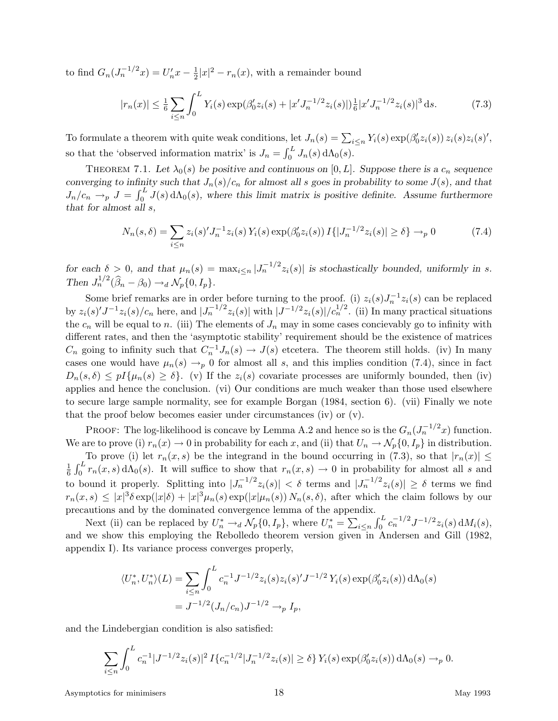to find  $G_n(J_n^{-1/2}x) = U'_n x - \frac{1}{2}|x|^2 - r_n(x)$ , with a remainder bound

$$
|r_n(x)| \le \frac{1}{6} \sum_{i \le n} \int_0^L Y_i(s) \exp(\beta_0' z_i(s) + |x' J_n^{-1/2} z_i(s)|) \frac{1}{6} |x' J_n^{-1/2} z_i(s)|^3 ds. \tag{7.3}
$$

To formulate a theorem with quite weak conditions, let  $J_n(s) = \sum_{i \leq n} Y_i(s) \exp(\beta'_0 z_i(s)) z_i(s) z_i(s)'$ , so that the 'observed information matrix' is  $J_n = \int_0^L J_n(s) d\Lambda_0(s)$ .

THEOREM 7.1. Let  $\lambda_0(s)$  be positive and continuous on  $[0, L]$ . Suppose there is a  $c_n$  sequence *converging to infinity such that*  $J_n(s)/c_n$  *for almost all s* goes in probability to some  $J(s)$ *, and that*  $J_n/c_n \to_p J = \int_0^L J(s) d\Lambda_0(s)$ , where this limit matrix is positive definite. Assume furthermore *that for almost all s,*

$$
N_n(s,\delta) = \sum_{i \le n} z_i(s)' J_n^{-1} z_i(s) Y_i(s) \exp(\beta'_0 z_i(s)) I\{|J_n^{-1/2} z_i(s)| \ge \delta\} \to_p 0
$$
 (7.4)

*for each*  $\delta > 0$ *, and that*  $\mu_n(s) = \max_{i \leq n} |J_n^{-1/2}z_i(s)|$  *is stochastically bounded, uniformly in <i>s. Then*  $J_n^{1/2}(\hat{\beta}_n - \beta_0) \rightarrow_d \mathcal{N}_p\{0, I_p\}.$ 

Some brief remarks are in order before turning to the proof. (i)  $z_i(s)J_n^{-1}z_i(s)$  can be replaced by  $z_i(s)J^{-1}z_i(s)/c_n$  here, and  $|J_n^{-1/2}z_i(s)|$  with  $|J^{-1/2}z_i(s)|/c_n^{1/2}$ . (ii) In many practical situations the  $c_n$  will be equal to *n*. (iii) The elements of  $J_n$  may in some cases concievably go to infinity with different rates, and then the 'asymptotic stability' requirement should be the existence of matrices  $C_n$  going to infinity such that  $C_n^{-1} J_n(s) \to J(s)$  etcetera. The theorem still holds. (iv) In many cases one would have  $\mu_n(s) \to_p 0$  for almost all *s*, and this implies condition (7.4), since in fact  $D_n(s, \delta) \leq pI\{\mu_n(s) \geq \delta\}$ . (v) If the  $z_i(s)$  covariate processes are uniformly bounded, then (iv) applies and hence the conclusion. (vi) Our conditions are much weaker than those used elsewhere to secure large sample normality, see for example Borgan (1984, section 6). (vii) Finally we note that the proof below becomes easier under circumstances (iv) or (v).

PROOF: The log-likelihood is concave by Lemma A.2 and hence so is the  $G_n(J_n^{-1/2}x)$  function. We are to prove (i)  $r_n(x) \to 0$  in probability for each *x*, and (ii) that  $U_n \to \mathcal{N}_p\{0, I_p\}$  in distribution.

To prove (i) let  $r_n(x, s)$  be the integrand in the bound occurring in (7.3), so that  $|r_n(x)| \le$ 1  $\frac{1}{6} \int_0^L r_n(x, s) d\Lambda_0(s)$ . It will suffice to show that  $r_n(x, s) \to 0$  in probability for almost all *s* and to bound it properly. Splitting into  $|J_n^{-1/2}z_i(s)| < \delta$  terms and  $|J_n^{-1/2}z_i(s)| \geq \delta$  terms we find  $r_n(x,s) \leq |x|^3 \delta \exp(|x|\delta) + |x|^3 \mu_n(s) \exp(|x|\mu_n(s)) N_n(s,\delta)$ , after which the claim follows by our precautions and by the dominated convergence lemma of the appendix.

Next (ii) can be replaced by  $U_n^* \to_d \mathcal{N}_p\{0, I_p\}$ , where  $U_n^* = \sum_{i \leq n} \int_0^L c_n^{-1/2} J^{-1/2} z_i(s) dM_i(s)$ , and we show this employing the Rebolledo theorem version given in Andersen and Gill (1982, appendix I). Its variance process converges properly,

$$
\langle U_n^*, U_n^* \rangle (L) = \sum_{i \le n} \int_0^L c_n^{-1} J^{-1/2} z_i(s) z_i(s)' J^{-1/2} Y_i(s) \exp(\beta_0' z_i(s)) d\Lambda_0(s)
$$
  
=  $J^{-1/2}(J_n/c_n) J^{-1/2} \to_p I_p$ ,

and the Lindebergian condition is also satisfied:

$$
\sum_{i \le n} \int_0^L c_n^{-1} |J^{-1/2} z_i(s)|^2 I\{c_n^{-1/2} |J_n^{-1/2} z_i(s)| \ge \delta\} Y_i(s) \exp(\beta_0' z_i(s)) d\Lambda_0(s) \to_p 0.
$$

Asymptotics for minimisers 18 and 1993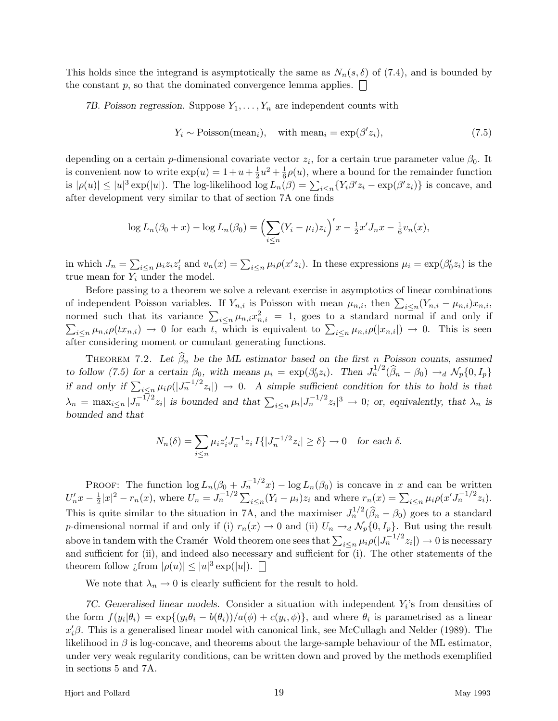This holds since the integrand is asymptotically the same as  $N_n(s, \delta)$  of (7.4), and is bounded by the constant  $p$ , so that the dominated convergence lemma applies.  $\Box$ 

*7B. Poisson regression.* Suppose *Y*1*,...,Y<sup>n</sup>* are independent counts with

$$
Y_i \sim \text{Poisson}(\text{mean}_i), \quad \text{with mean}_i = \exp(\beta' z_i), \tag{7.5}
$$

depending on a certain *p*-dimensional covariate vector  $z_i$ , for a certain true parameter value  $\beta_0$ . It is convenient now to write  $\exp(u) = 1 + u + \frac{1}{2}u^2 + \frac{1}{6}\rho(u)$ , where a bound for the remainder function  $|\rho(u)| \leq |u|^3 \exp(|u|)$ . The log-likelihood  $\log L_n(\beta) = \sum_{i \leq n} \{Y_i \beta' z_i - \exp(\beta' z_i)\}$  is concave, and after development very similar to that of section 7A one finds

$$
\log L_n(\beta_0 + x) - \log L_n(\beta_0) = \left(\sum_{i \le n} (Y_i - \mu_i) z_i\right)' x - \frac{1}{2} x' J_n x - \frac{1}{6} v_n(x),
$$

in which  $J_n = \sum_{i \le n} \mu_i z_i z'_i$  and  $v_n(x) = \sum_{i \le n} \mu_i \rho(x' z_i)$ . In these expressions  $\mu_i = \exp(\beta'_0 z_i)$  is the true mean for  $Y_i$  under the model.

Before passing to a theorem we solve a relevant exercise in asymptotics of linear combinations of independent Poisson variables. If  $Y_{n,i}$  is Poisson with mean  $\mu_{n,i}$ , then  $\sum_{i\leq n}(Y_{n,i}-\mu_{n,i})x_{n,i}$ , normed such that its variance  $\sum_{i\leq n} \mu_{n,i} x_{n,i}^2 = 1$ , goes to a standard normal if and only if  $\sum_{i\leq n} \mu_{n,i}\rho(tx_{n,i}) \to 0$  for each *t*, which is equivalent to  $\sum_{i\leq n} \mu_{n,i}\rho(|x_{n,i}|) \to 0$ . This is seen after considering moment or cumulant generating functions.

THEOREM 7.2. Let  $\widehat{\beta}_n$  be the ML estimator based on the first *n* Poisson counts, assumed to follow (7.5) for a certain  $\beta_0$ , with means  $\mu_i = \exp(\beta'_0 z_i)$ . Then  $J_n^{1/2}(\hat{\beta}_n - \beta_0) \rightarrow_d \mathcal{N}_p\{0, I_p\}$ *if and only if*  $\sum_{i \leq n} \mu_i \rho(|J_n^{-1/2}z_i|) \to 0$ . A simple sufficient condition for this to hold is that  $\lambda_n = \max_{i \leq n} |J_n^{-1/2} z_i|$  is bounded and that  $\sum_{i \leq n} \mu_i |J_n^{-1/2} z_i|^3 \to 0$ ; or, equivalently, that  $\lambda_n$  is *bounded and that*

$$
N_n(\delta) = \sum_{i \le n} \mu_i z_i' J_n^{-1} z_i I\{ |J_n^{-1/2} z_i| \ge \delta \} \to 0 \quad \text{for each } \delta.
$$

PROOF: The function  $\log L_n(\beta_0 + J_n^{-1/2}x) - \log L_n(\beta_0)$  is concave in *x* and can be written  $U'_n x - \frac{1}{2}|x|^2 - r_n(x)$ , where  $U_n = J_n^{-1/2} \sum_{i \le n} (Y_i - \mu_i) z_i$  and where  $r_n(x) = \sum_{i \le n} \mu_i \rho(x' J_n^{-1/2} z_i)$ . This is quite similar to the situation in 7A, and the maximiser  $J_n^{1/2}(\hat{\beta}_n - \beta_0)$  goes to a standard *p*-dimensional normal if and only if (i)  $r_n(x) \to 0$  and (ii)  $U_n \to d \mathcal{N}_p\{0, I_p\}$ . But using the result above in tandem with the Cramér–Wold theorem one sees that  $\sum_{i\leq n}\mu_i\rho(|J_n^{-1/2}z_i|) \to 0$  is necessary and sufficient for (ii), and indeed also necessary and sufficient for (i). The other statements of the theorem follow *i* from  $|\rho(u)| \leq |u|^3 \exp(|u|)$ .

We note that  $\lambda_n \to 0$  is clearly sufficient for the result to hold.

*7C. Generalised linear models.* Consider a situation with independent *Yi*'s from densities of the form  $f(y_i|\theta_i) = \exp\{(y_i\theta_i - b(\theta_i))/a(\phi) + c(y_i, \phi)\}\$ , and where  $\theta_i$  is parametrised as a linear *x*<sup>'</sup><sub>*i*</sub>β. This is a generalised linear model with canonical link, see McCullagh and Nelder (1989). The likelihood in  $\beta$  is log-concave, and theorems about the large-sample behaviour of the ML estimator, under very weak regularity conditions, can be written down and proved by the methods exemplified in sections 5 and 7A.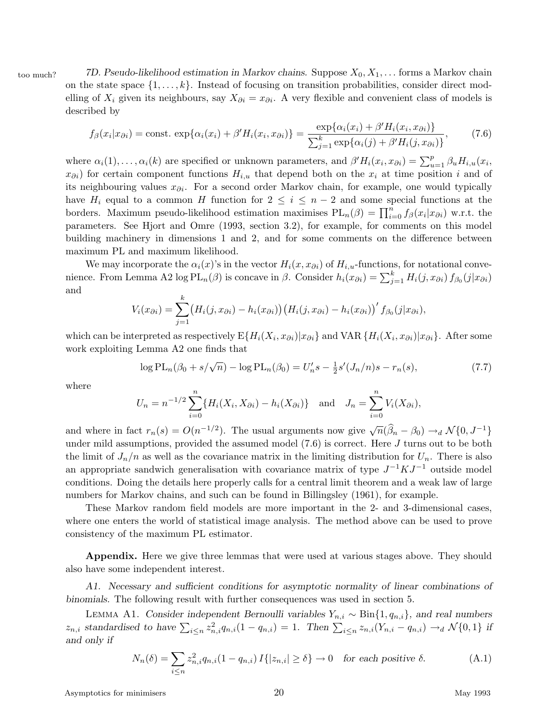too much? *7D. Pseudo-likelihood estimation in Markov chains.* Suppose *X*0*, X*1*,...* forms a Markov chain on the state space  $\{1,\ldots,k\}$ . Instead of focusing on transition probabilities, consider direct modelling of  $X_i$  given its neighbours, say  $X_{\partial i} = x_{\partial i}$ . A very flexible and convenient class of models is described by

$$
f_{\beta}(x_i|x_{\partial i}) = \text{const.} \exp\{\alpha_i(x_i) + \beta' H_i(x_i, x_{\partial i})\} = \frac{\exp\{\alpha_i(x_i) + \beta' H_i(x_i, x_{\partial i})\}}{\sum_{j=1}^k \exp\{\alpha_i(j) + \beta' H_i(j, x_{\partial i})\}},\tag{7.6}
$$

where  $\alpha_i(1), \ldots, \alpha_i(k)$  are specified or unknown parameters, and  $\beta' H_i(x_i, x_{\partial i}) = \sum_{u=1}^p \beta_u H_{i,u}(x_i, x_{\partial i})$  $x_{\partial i}$  for certain component functions  $H_{i,u}$  that depend both on the  $x_i$  at time position *i* and of its neighbouring values *x∂i*. For a second order Markov chain, for example, one would typically have  $H_i$  equal to a common *H* function for  $2 \leq i \leq n-2$  and some special functions at the borders. Maximum pseudo-likelihood estimation maximises  $PL_n(\beta) = \prod_{i=0}^n f_{\beta}(x_i|x_{\partial i})$  w.r.t. the parameters. See Hjort and Omre (1993, section 3.2), for example, for comments on this model building machinery in dimensions 1 and 2, and for some comments on the difference between maximum PL and maximum likelihood.

We may incorporate the  $\alpha_i(x)$ 's in the vector  $H_i(x, x_{\partial i})$  of  $H_{i,u}$ -functions, for notational convenience. From Lemma A2 log  $PL_n(\beta)$  is concave in  $\beta$ . Consider  $h_i(x_{\partial i}) = \sum_{j=1}^k H_i(j, x_{\partial i}) f_{\beta_0}(j|x_{\partial i})$ and

$$
V_i(x_{\partial i}) = \sum_{j=1}^k (H_i(j, x_{\partial i}) - h_i(x_{\partial i})) (H_i(j, x_{\partial i}) - h_i(x_{\partial i}))' f_{\beta_0}(j|x_{\partial i}),
$$

which can be interpreted as respectively  $E\{H_i(X_i, x_{\partial i})|x_{\partial i}\}\$  and VAR  $\{H_i(X_i, x_{\partial i})|x_{\partial i}\}\$ . After some work exploiting Lemma A2 one finds that

$$
\log PL_n(\beta_0 + s/\sqrt{n}) - \log PL_n(\beta_0) = U'_n s - \frac{1}{2} s'(J_n/n)s - r_n(s),
$$
\n(7.7)

where

$$
U_n = n^{-1/2} \sum_{i=0}^n \{ H_i(X_i, X_{\partial i}) - h_i(X_{\partial i}) \} \text{ and } J_n = \sum_{i=0}^n V_i(X_{\partial i}),
$$

and where in fact  $r_n(s) = O(n^{-1/2})$ . The usual arguments now give  $\sqrt{n}(\hat{\beta}_n - \beta_0) \rightarrow_d N\{0, J^{-1}\}\$ under mild assumptions, provided the assumed model (7.6) is correct. Here *J* turns out to be both the limit of  $J_n/n$  as well as the covariance matrix in the limiting distribution for  $U_n$ . There is also an appropriate sandwich generalisation with covariance matrix of type *J*−<sup>1</sup>*KJ*−<sup>1</sup> outside model conditions. Doing the details here properly calls for a central limit theorem and a weak law of large numbers for Markov chains, and such can be found in Billingsley (1961), for example.

These Markov random field models are more important in the 2- and 3-dimensional cases, where one enters the world of statistical image analysis. The method above can be used to prove consistency of the maximum PL estimator.

**Appendix.** Here we give three lemmas that were used at various stages above. They should also have some independent interest.

*A1. Necessary and sufficient conditions for asymptotic normality of linear combinations of binomials.* The following result with further consequences was used in section 5.

Lemma A1. *Consider independent Bernoulli variables Yn,i* ∼ Bin{1*, qn,i*}*, and real numbers*  $z_{n,i}$  standardised to have  $\sum_{i\leq n} z_{n,i}^2 q_{n,i} (1-q_{n,i}) = 1$ . Then  $\sum_{i\leq n} z_{n,i} (Y_{n,i} - q_{n,i}) \rightarrow_d \mathcal{N}\{0,1\}$  if *and only if*

$$
N_n(\delta) = \sum_{i \le n} z_{n,i}^2 q_{n,i} (1 - q_{n,i}) I\{|z_{n,i}| \ge \delta\} \to 0 \quad \text{for each positive } \delta.
$$
 (A.1)

Asymptotics for minimisers 20 and 20 May 1993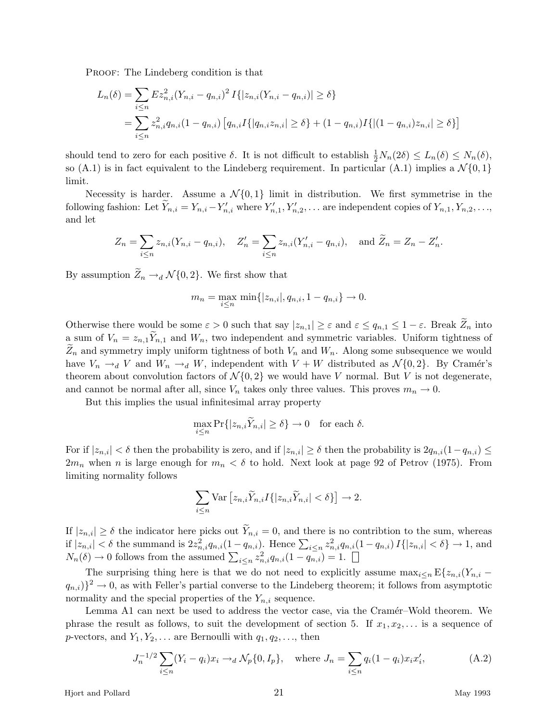PROOF: The Lindeberg condition is that

$$
L_n(\delta) = \sum_{i \le n} E z_{n,i}^2 (Y_{n,i} - q_{n,i})^2 I\{|z_{n,i}(Y_{n,i} - q_{n,i})| \ge \delta\}
$$
  
= 
$$
\sum_{i \le n} z_{n,i}^2 q_{n,i} (1 - q_{n,i}) [q_{n,i} I\{|q_{n,i} z_{n,i}| \ge \delta\} + (1 - q_{n,i}) I\{|(1 - q_{n,i}) z_{n,i}| \ge \delta\}]
$$

should tend to zero for each positive  $\delta$ . It is not difficult to establish  $\frac{1}{2}N_n(2\delta) \leq L_n(\delta) \leq N_n(\delta)$ , so  $(A.1)$  is in fact equivalent to the Lindeberg requirement. In particular  $(A.1)$  implies a  $\mathcal{N}\{0,1\}$ limit.

Necessity is harder. Assume a  $\mathcal{N}\{0,1\}$  limit in distribution. We first symmetrise in the following fashion: Let  $Y_{n,i} = Y_{n,i} - Y'_{n,i}$  where  $Y'_{n,1}, Y'_{n,2}, \ldots$  are independent copies of  $Y_{n,1}, Y_{n,2}, \ldots$ and let

$$
Z_n = \sum_{i \le n} z_{n,i} (Y_{n,i} - q_{n,i}), \quad Z'_n = \sum_{i \le n} z_{n,i} (Y'_{n,i} - q_{n,i}), \text{ and } \tilde{Z}_n = Z_n - Z'_n.
$$

By assumption  $Z_n \to d \mathcal{N} \{0,2\}$ . We first show that

$$
m_n = \max_{i \le n} \min\{|z_{n,i}|, q_{n,i}, 1 - q_{n,i}\} \to 0.
$$

Otherwise there would be some  $\varepsilon > 0$  such that say  $|z_{n,1}| \geq \varepsilon$  and  $\varepsilon \leq q_{n,1} \leq 1 - \varepsilon$ . Break  $\widetilde{Z}_n$  into a sum of  $V_n = z_{n,1}Y_{n,1}$  and  $W_n$ , two independent and symmetric variables. Uniform tightness of  $Z_n$  and symmetry imply uniform tightness of both  $V_n$  and  $W_n$ . Along some subsequence we would have  $V_n \to dV$  and  $W_n \to dW$ , independent with  $V + W$  distributed as  $\mathcal{N}\{0, 2\}$ . By Cramér's theorem about convolution factors of  $\mathcal{N}\{0,2\}$  we would have *V* normal. But *V* is not degenerate, and cannot be normal after all, since  $V_n$  takes only three values. This proves  $m_n \to 0$ .

But this implies the usual infinitesimal array property

$$
\max_{i \le n} \Pr\{|z_{n,i}\widetilde{Y}_{n,i}| \ge \delta\} \to 0 \quad \text{for each } \delta.
$$

For if  $|z_{n,i}| < \delta$  then the probability is zero, and if  $|z_{n,i}| \geq \delta$  then the probability is  $2q_{n,i}(1-q_{n,i}) \leq$  $2m_n$  when *n* is large enough for  $m_n < \delta$  to hold. Next look at page 92 of Petrov (1975). From limiting normality follows

$$
\sum_{i\leq n} \text{Var}\left[z_{n,i}\widetilde{Y}_{n,i}I\{|z_{n,i}\widetilde{Y}_{n,i}| < \delta\}\right]\rightarrow 2.
$$

If  $|z_{n,i}| \geq \delta$  the indicator here picks out  $\widetilde{Y}_{n,i} = 0$ , and there is no contribtion to the sum, whereas if  $|z_{n,i}| < \delta$  the summand is  $2z_{n,i}^2 q_{n,i} (1-q_{n,i})$ . Hence  $\sum_{i \leq n} z_{n,i}^2 q_{n,i} (1-q_{n,i}) I\{|z_{n,i}| < \delta\} \to 1$ , and  $N_n(\delta) \to 0$  follows from the assumed  $\sum_{i \leq n} z_{n,i}^2 q_{n,i} (1 - q_{n,i}^{\overline{\jmath}}) = 1.$ 

The surprising thing here is that we do not need to explicitly assume  $\max_{i \leq n} E\{z_{n,i}(Y_{n,i} - \mathcal{E}(z_{n,i})\}_{i \leq n}$  $(q_{n,i})\}^2 \rightarrow 0$ , as with Feller's partial converse to the Lindeberg theorem; it follows from asymptotic normality and the special properties of the  $Y_{n,i}$  sequence.

Lemma A1 can next be used to address the vector case, via the Cramér–Wold theorem. We phrase the result as follows, to suit the development of section 5. If  $x_1, x_2, \ldots$  is a sequence of *p*-vectors, and  $Y_1, Y_2, \ldots$  are Bernoulli with  $q_1, q_2, \ldots$ , then

$$
J_n^{-1/2} \sum_{i \le n} (Y_i - q_i) x_i \to_d \mathcal{N}_p\{0, I_p\}, \quad \text{where } J_n = \sum_{i \le n} q_i (1 - q_i) x_i x'_i,
$$
 (A.2)

Hjort and Pollard 21 May 1993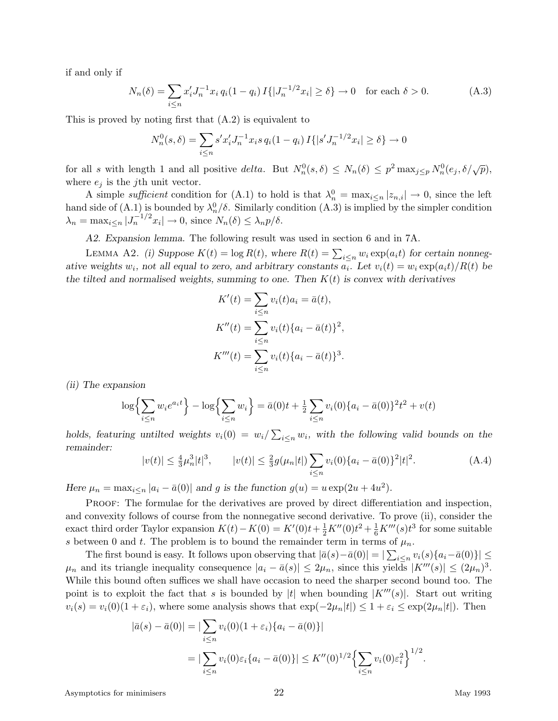if and only if

$$
N_n(\delta) = \sum_{i \le n} x_i' J_n^{-1} x_i q_i (1 - q_i) I\{|J_n^{-1/2} x_i| \ge \delta\} \to 0 \quad \text{for each } \delta > 0.
$$
 (A.3)

This is proved by noting first that (A.2) is equivalent to

$$
N_n^0(s,\delta) = \sum_{i \le n} s' x'_i J_n^{-1} x_i s q_i (1 - q_i) I\{|s' J_n^{-1/2} x_i| \ge \delta\} \to 0
$$

for all *s* with length 1 and all positive *delta*. But  $N_n^0(s, \delta) \leq N_n(\delta) \leq p^2 \max_{j \leq p} N_n^0(e_j, \delta/\sqrt{p})$ , where  $e_j$  is the *j*th unit vector.

A simple sufficient condition for (A.1) to hold is that  $\lambda_n^0 = \max_{i \leq n} |z_{n,i}| \to 0$ , since the left hand side of  $(A.1)$  is bounded by  $\lambda_n^0/\delta$ . Similarly condition  $(A.3)$  is implied by the simpler condition  $\lambda_n = \max_{i \leq n} |J_n^{-1/2}x_i| \to 0$ , since  $N_n(\delta) \leq \lambda_n p/\delta$ .

*A2. Expansion lemma.* The following result was used in section 6 and in 7A.

LEMMA A2. *(i)* Suppose  $K(t) = \log R(t)$ , where  $R(t) = \sum_{i \leq n} w_i \exp(a_i t)$  for certain nonnegative weights  $w_i$ , not all equal to zero, and arbitrary constants  $a_i$ . Let  $v_i(t) = w_i \exp(a_i t)/R(t)$  be the tilted and normalised weights, summing to one. Then  $K(t)$  is convex with derivatives

$$
K'(t) = \sum_{i \le n} v_i(t)a_i = \bar{a}(t),
$$
  
\n
$$
K''(t) = \sum_{i \le n} v_i(t)\{a_i - \bar{a}(t)\}^2,
$$
  
\n
$$
K'''(t) = \sum_{i \le n} v_i(t)\{a_i - \bar{a}(t)\}^3.
$$

*(ii) The expansion*

$$
\log\left\{\sum_{i\leq n} w_i e^{a_i t}\right\} - \log\left\{\sum_{i\leq n} w_i\right\} = \bar{a}(0)t + \frac{1}{2}\sum_{i\leq n} v_i(0)\{a_i - \bar{a}(0)\}^2 t^2 + v(t)
$$

*holds, featuring untilted weights*  $v_i(0) = w_i / \sum_{i \leq n} w_i$ , with the following valid bounds on the *remainder:*

$$
|v(t)| \le \frac{4}{3}\mu_n^3|t|^3, \qquad |v(t)| \le \frac{2}{3}g(\mu_n|t|) \sum_{i \le n} v_i(0)\{a_i - \bar{a}(0)\}^2|t|^2. \tag{A.4}
$$

*Here*  $\mu_n = \max_{i \le n} |a_i - \bar{a}(0)|$  *and g is the function*  $g(u) = u \exp(2u + 4u^2)$ .

PROOF: The formulae for the derivatives are proved by direct differentiation and inspection, and convexity follows of course from the nonnegative second derivative. To prove (ii), consider the exact third order Taylor expansion  $K(t) - K(0) = K'(0)t + \frac{1}{2}K''(0)t^2 + \frac{1}{6}K'''(s)t^3$  for some suitable *s* between 0 and *t*. The problem is to bound the remainder term in terms of  $\mu_n$ .

The first bound is easy. It follows upon observing that  $|\bar{a}(s) - \bar{a}(0)| = |\sum_{i \leq n} v_i(s) \{a_i - \bar{a}(0)\}| \leq$  $\mu_n$  and its triangle inequality consequence  $|a_i - \bar{a}(s)| \leq 2\mu_n$ , since this yields  $|K'''(s)| \leq (2\mu_n)^3$ . While this bound often suffices we shall have occasion to need the sharper second bound too. The point is to exploit the fact that *s* is bounded by |t| when bounding  $|K'''(s)|$ . Start out writing  $v_i(s) = v_i(0)(1 + \varepsilon_i)$ , where some analysis shows that  $\exp(-2\mu_i|t|) \leq 1 + \varepsilon_i \leq \exp(2\mu_i|t|)$ . Then

$$
|\bar{a}(s) - \bar{a}(0)| = |\sum_{i \le n} v_i(0)(1 + \varepsilon_i) \{a_i - \bar{a}(0)\}|
$$
  
= 
$$
|\sum_{i \le n} v_i(0)\varepsilon_i \{a_i - \bar{a}(0)\}| \le K''(0)^{1/2} \left\{ \sum_{i \le n} v_i(0)\varepsilon_i^2 \right\}^{1/2}.
$$

Asymptotics for minimisers 22 and 2008 and 22 May 1993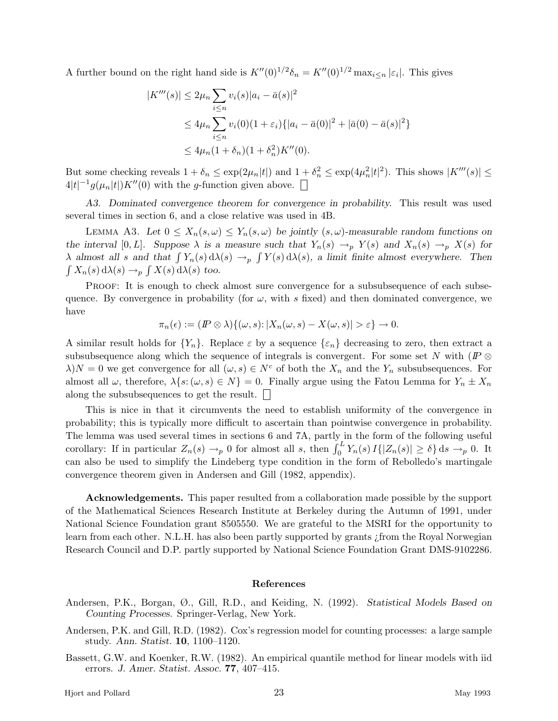A further bound on the right hand side is  $K''(0)^{1/2}\delta_n = K''(0)^{1/2} \max_{i \leq n} |\varepsilon_i|$ . This gives

$$
|K'''(s)| \le 2\mu_n \sum_{i \le n} v_i(s)|a_i - \bar{a}(s)|^2
$$
  
\n
$$
\le 4\mu_n \sum_{i \le n} v_i(0)(1 + \varepsilon_i) \{|a_i - \bar{a}(0)|^2 + |\bar{a}(0) - \bar{a}(s)|^2\}
$$
  
\n
$$
\le 4\mu_n (1 + \delta_n)(1 + \delta_n^2)K''(0).
$$

But some checking reveals  $1 + \delta_n \leq \exp(2\mu_n|t|)$  and  $1 + \delta_n^2 \leq \exp(4\mu_n^2|t|^2)$ . This shows  $|K'''(s)| \leq$  $4|t|^{-1}g(\mu_n|t|)K''(0)$  with the *g*-function given above.

*A3. Dominated convergence theorem for convergence in probability.* This result was used several times in section 6, and a close relative was used in 4B.

LEMMA A3. Let  $0 \leq X_n(s,\omega) \leq Y_n(s,\omega)$  be jointly  $(s,\omega)$ -measurable random functions on *the interval*  $[0, L]$ *. Suppose*  $\lambda$  *is a measure such that*  $Y_n(s) \to_p Y(s)$  *and*  $X_n(s) \to_p X(s)$  *for λ almost all s* and that  $\int Y_n(s) d\lambda(s) \rightarrow_p \int Y(s) d\lambda(s)$ , a limit finite almost everywhere. Then  $\int X_n(s) d\lambda(s) \rightarrow_p \int X(s) d\lambda(s)$  too.

PROOF: It is enough to check almost sure convergence for a subsubsequence of each subsequence. By convergence in probability (for  $\omega$ , with *s* fixed) and then dominated convergence, we have

$$
\pi_n(\epsilon) := (I\!\!P \otimes \lambda) \{(\omega, s) : |X_n(\omega, s) - X(\omega, s)| > \epsilon\} \to 0.
$$

A similar result holds for  $\{Y_n\}$ . Replace  $\varepsilon$  by a sequence  $\{\varepsilon_n\}$  decreasing to zero, then extract a subsubsequence along which the sequence of integrals is convergent. For some set *N* with ( $\mathbb{P} \otimes$  $\lambda$ )*N* = 0 we get convergence for all  $(\omega, s) \in N^c$  of both the  $X_n$  and the  $Y_n$  subsubsequences. For almost all  $\omega$ , therefore,  $\lambda \{s : (\omega, s) \in N\} = 0$ . Finally argue using the Fatou Lemma for  $Y_n \pm X_n$ along the subsubsequences to get the result.  $\Box$ 

This is nice in that it circumvents the need to establish uniformity of the convergence in probability; this is typically more difficult to ascertain than pointwise convergence in probability. The lemma was used several times in sections 6 and 7A, partly in the form of the following useful corollary: If in particular  $Z_n(s) \to_p 0$  for almost all *s*, then  $\int_0^L Y_n(s) I\{|Z_n(s)| \geq \delta\} ds \to_p 0$ . It can also be used to simplify the Lindeberg type condition in the form of Rebolledo's martingale convergence theorem given in Andersen and Gill (1982, appendix).

**Acknowledgements.** This paper resulted from a collaboration made possible by the support of the Mathematical Sciences Research Institute at Berkeley during the Autumn of 1991, under National Science Foundation grant 8505550. We are grateful to the MSRI for the opportunity to learn from each other. N.L.H. has also been partly supported by grants ¿from the Royal Norwegian Research Council and D.P. partly supported by National Science Foundation Grant DMS-9102286.

## **References**

- Andersen, P.K., Borgan, Ø., Gill, R.D., and Keiding, N. (1992). *Statistical Models Based on Counting Processes.* Springer-Verlag, New York.
- Andersen, P.K. and Gill, R.D. (1982). Cox's regression model for counting processes: a large sample study. *Ann. Statist.* **10**, 1100–1120.
- Bassett, G.W. and Koenker, R.W. (1982). An empirical quantile method for linear models with iid errors. *J. Amer. Statist. Assoc.* **77**, 407–415.